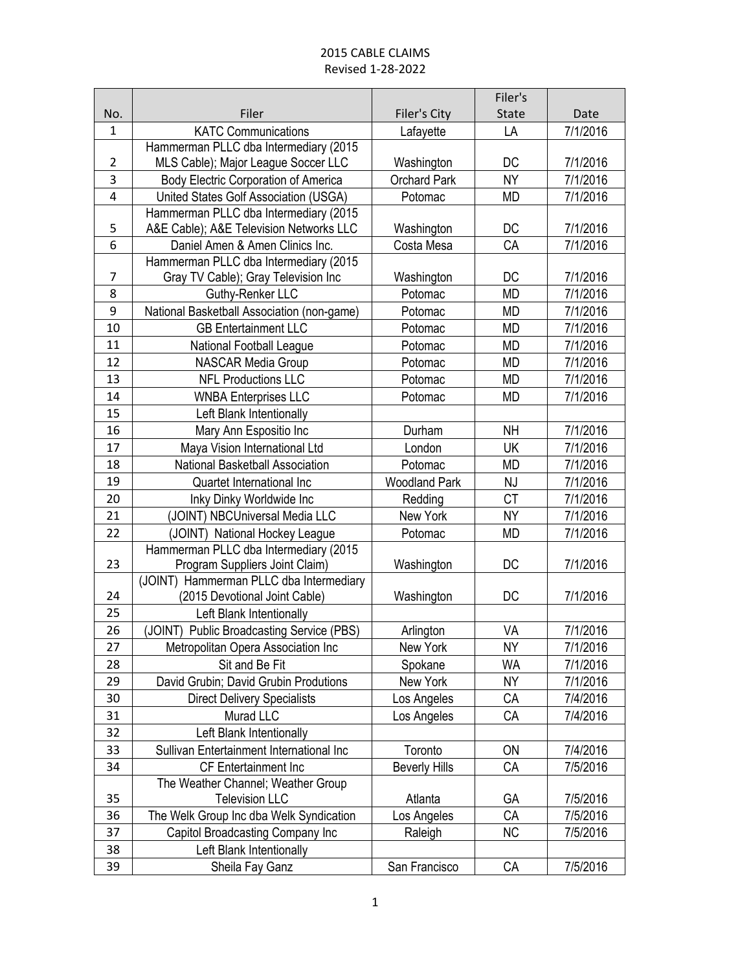|                |                                            |                      | Filer's   |          |
|----------------|--------------------------------------------|----------------------|-----------|----------|
| No.            | Filer                                      | Filer's City         | State     | Date     |
| $\mathbf{1}$   | <b>KATC Communications</b>                 | Lafayette            | LA        | 7/1/2016 |
|                | Hammerman PLLC dba Intermediary (2015      |                      |           |          |
| $\overline{2}$ | MLS Cable); Major League Soccer LLC        | Washington           | DC        | 7/1/2016 |
| 3              | Body Electric Corporation of America       | <b>Orchard Park</b>  | <b>NY</b> | 7/1/2016 |
| $\overline{4}$ | United States Golf Association (USGA)      | Potomac              | <b>MD</b> | 7/1/2016 |
|                | Hammerman PLLC dba Intermediary (2015      |                      |           |          |
| 5              | A&E Cable); A&E Television Networks LLC    | Washington           | DC        | 7/1/2016 |
| 6              | Daniel Amen & Amen Clinics Inc.            | Costa Mesa           | CA        | 7/1/2016 |
|                | Hammerman PLLC dba Intermediary (2015      |                      |           |          |
| $\overline{7}$ | Gray TV Cable); Gray Television Inc        | Washington           | DC        | 7/1/2016 |
| 8              | Guthy-Renker LLC                           | Potomac              | <b>MD</b> | 7/1/2016 |
| 9              | National Basketball Association (non-game) | Potomac              | <b>MD</b> | 7/1/2016 |
| 10             | <b>GB Entertainment LLC</b>                | Potomac              | <b>MD</b> | 7/1/2016 |
| 11             | National Football League                   | Potomac              | <b>MD</b> | 7/1/2016 |
| 12             | <b>NASCAR Media Group</b>                  | Potomac              | MD        | 7/1/2016 |
| 13             | <b>NFL Productions LLC</b>                 | Potomac              | <b>MD</b> | 7/1/2016 |
| 14             | <b>WNBA Enterprises LLC</b>                | Potomac              | <b>MD</b> | 7/1/2016 |
| 15             | Left Blank Intentionally                   |                      |           |          |
| 16             | Mary Ann Espositio Inc                     | Durham               | <b>NH</b> | 7/1/2016 |
| 17             | Maya Vision International Ltd              | London               | UK        | 7/1/2016 |
| 18             | National Basketball Association            | Potomac              | <b>MD</b> | 7/1/2016 |
| 19             | Quartet International Inc                  | <b>Woodland Park</b> | <b>NJ</b> | 7/1/2016 |
| 20             | Inky Dinky Worldwide Inc                   | Redding              | <b>CT</b> | 7/1/2016 |
| 21             | (JOINT) NBCUniversal Media LLC             | New York             | <b>NY</b> | 7/1/2016 |
| 22             | (JOINT) National Hockey League             | Potomac              | <b>MD</b> | 7/1/2016 |
|                | Hammerman PLLC dba Intermediary (2015      |                      |           |          |
| 23             | Program Suppliers Joint Claim)             | Washington           | DC        | 7/1/2016 |
|                | (JOINT) Hammerman PLLC dba Intermediary    |                      |           |          |
| 24             | (2015 Devotional Joint Cable)              | Washington           | DC        | 7/1/2016 |
| 25             | Left Blank Intentionally                   |                      |           |          |
| 26             | (JOINT) Public Broadcasting Service (PBS)  | Arlington            | VA        | 7/1/2016 |
| 27             | Metropolitan Opera Association Inc         | New York             | ΝY        | 7/1/2016 |
| 28             | Sit and Be Fit                             | Spokane              | WA        | 7/1/2016 |
| 29             | David Grubin; David Grubin Produtions      | New York             | <b>NY</b> | 7/1/2016 |
| 30             | <b>Direct Delivery Specialists</b>         | Los Angeles          | СA        | 7/4/2016 |
| 31             | Murad LLC                                  | Los Angeles          | СA        | 7/4/2016 |
| 32             | Left Blank Intentionally                   |                      |           |          |
| 33             | Sullivan Entertainment International Inc   | Toronto              | ON        | 7/4/2016 |
| 34             | CF Entertainment Inc                       | <b>Beverly Hills</b> | СA        | 7/5/2016 |
|                | The Weather Channel; Weather Group         |                      |           |          |
| 35             | <b>Television LLC</b>                      | Atlanta              | GА        | 7/5/2016 |
| 36             | The Welk Group Inc dba Welk Syndication    | Los Angeles          | CA        | 7/5/2016 |
| 37             | Capitol Broadcasting Company Inc           | Raleigh              | <b>NC</b> | 7/5/2016 |
| 38             | Left Blank Intentionally                   |                      |           |          |
| 39             | Sheila Fay Ganz                            | San Francisco        | CA        | 7/5/2016 |
|                |                                            |                      |           |          |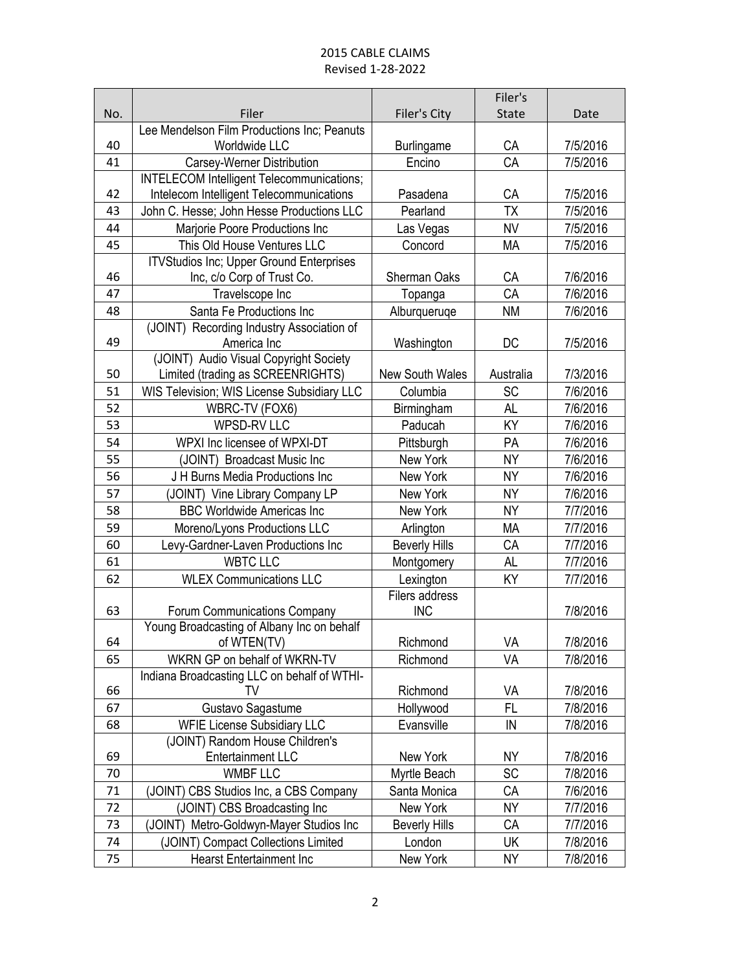|        |                                                           |                        | Filer's      |          |
|--------|-----------------------------------------------------------|------------------------|--------------|----------|
| No.    | Filer                                                     | Filer's City           | <b>State</b> | Date     |
|        | Lee Mendelson Film Productions Inc; Peanuts               |                        |              |          |
| 40     | Worldwide LLC                                             | <b>Burlingame</b>      | CA           | 7/5/2016 |
| 41     | Carsey-Werner Distribution                                | Encino                 | CA           | 7/5/2016 |
|        | <b>INTELECOM Intelligent Telecommunications;</b>          |                        |              |          |
| 42     | Intelecom Intelligent Telecommunications                  | Pasadena               | CA           | 7/5/2016 |
| 43     | John C. Hesse; John Hesse Productions LLC                 | Pearland               | <b>TX</b>    | 7/5/2016 |
| 44     | Marjorie Poore Productions Inc                            | Las Vegas              | <b>NV</b>    | 7/5/2016 |
| 45     | This Old House Ventures LLC                               | Concord                | МA           | 7/5/2016 |
|        | <b>ITVStudios Inc; Upper Ground Enterprises</b>           |                        |              |          |
| 46     | Inc, c/o Corp of Trust Co.                                | Sherman Oaks           | CA           | 7/6/2016 |
| 47     | Travelscope Inc                                           | Topanga                | CA           | 7/6/2016 |
| 48     | Santa Fe Productions Inc                                  | Alburqueruqe           | <b>NM</b>    | 7/6/2016 |
| 49     | (JOINT) Recording Industry Association of                 |                        | DC           | 7/5/2016 |
|        | America Inc<br>(JOINT) Audio Visual Copyright Society     | Washington             |              |          |
| 50     | Limited (trading as SCREENRIGHTS)                         | <b>New South Wales</b> | Australia    | 7/3/2016 |
| 51     | <b>WIS Television; WIS License Subsidiary LLC</b>         | Columbia               | <b>SC</b>    | 7/6/2016 |
| 52     | WBRC-TV (FOX6)                                            | Birmingham             | AL           | 7/6/2016 |
| 53     | <b>WPSD-RV LLC</b>                                        | Paducah                | ΚY           | 7/6/2016 |
| 54     | WPXI Inc licensee of WPXI-DT                              | Pittsburgh             | PA           | 7/6/2016 |
| 55     | (JOINT) Broadcast Music Inc                               | New York               | <b>NY</b>    | 7/6/2016 |
| 56     | J H Burns Media Productions Inc                           | New York               | <b>NY</b>    | 7/6/2016 |
| 57     | (JOINT) Vine Library Company LP                           | New York               | <b>NY</b>    | 7/6/2016 |
| 58     | <b>BBC Worldwide Americas Inc</b>                         | New York               | <b>NY</b>    | 7/7/2016 |
| 59     | Moreno/Lyons Productions LLC                              | Arlington              | MA           | 7/7/2016 |
| 60     | Levy-Gardner-Laven Productions Inc                        | <b>Beverly Hills</b>   | CA           | 7/7/2016 |
| 61     | <b>WBTC LLC</b>                                           | Montgomery             | <b>AL</b>    | 7/7/2016 |
| 62     | <b>WLEX Communications LLC</b>                            | Lexington              | ΚY           | 7/7/2016 |
|        |                                                           | Filers address         |              |          |
| 63     | Forum Communications Company                              | <b>INC</b>             |              | 7/8/2016 |
| 64     | Young Broadcasting of Albany Inc on behalf<br>of WTEN(TV) | Richmond               | VA           | 7/8/2016 |
| 65     | WKRN GP on behalf of WKRN-TV                              | Richmond               | VA           | 7/8/2016 |
|        | Indiana Broadcasting LLC on behalf of WTHI-               |                        |              |          |
| 66     | TV                                                        | Richmond               | VA           | 7/8/2016 |
| 67     | Gustavo Sagastume                                         | Hollywood              | FL           | 7/8/2016 |
| 68     | <b>WFIE License Subsidiary LLC</b>                        | Evansville             | IN           | 7/8/2016 |
|        | (JOINT) Random House Children's                           |                        |              |          |
| 69     | <b>Entertainment LLC</b>                                  | New York               | NΥ           | 7/8/2016 |
| 70     | <b>WMBF LLC</b>                                           | Myrtle Beach           | <b>SC</b>    | 7/8/2016 |
| $71\,$ | (JOINT) CBS Studios Inc, a CBS Company                    | Santa Monica           | CA           | 7/6/2016 |
| 72     | (JOINT) CBS Broadcasting Inc                              | New York               | <b>NY</b>    | 7/7/2016 |
| 73     | Metro-Goldwyn-Mayer Studios Inc<br>(JOINT)                | <b>Beverly Hills</b>   | CA           | 7/7/2016 |
| 74     | (JOINT) Compact Collections Limited                       | London                 | UK           | 7/8/2016 |
| 75     | <b>Hearst Entertainment Inc</b>                           | New York               | ΝY           | 7/8/2016 |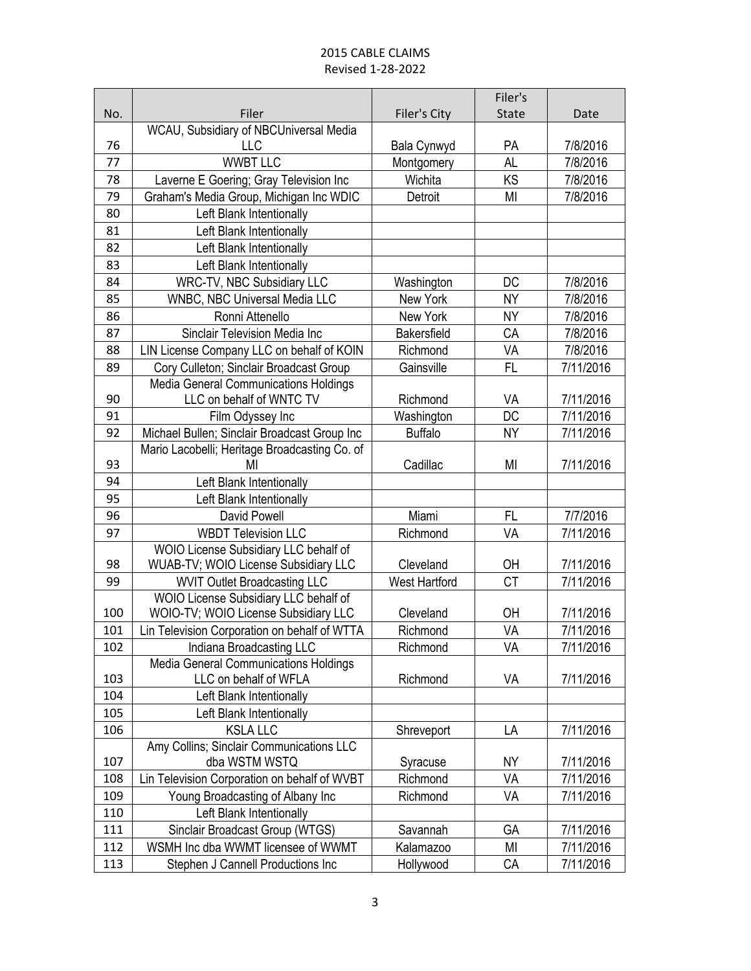|     |                                                                               |                      | Filer's      |           |
|-----|-------------------------------------------------------------------------------|----------------------|--------------|-----------|
| No. | Filer                                                                         | Filer's City         | <b>State</b> | Date      |
|     | WCAU, Subsidiary of NBCUniversal Media                                        |                      |              |           |
| 76  | <b>LLC</b>                                                                    | Bala Cynwyd          | PA           | 7/8/2016  |
| 77  | <b>WWBT LLC</b>                                                               | Montgomery           | AL           | 7/8/2016  |
| 78  | Laverne E Goering; Gray Television Inc                                        | Wichita              | KS           | 7/8/2016  |
| 79  | Graham's Media Group, Michigan Inc WDIC                                       | Detroit              | MI           | 7/8/2016  |
| 80  | Left Blank Intentionally                                                      |                      |              |           |
| 81  | Left Blank Intentionally                                                      |                      |              |           |
| 82  | Left Blank Intentionally                                                      |                      |              |           |
| 83  | Left Blank Intentionally                                                      |                      |              |           |
| 84  | WRC-TV, NBC Subsidiary LLC                                                    | Washington           | DC           | 7/8/2016  |
| 85  | WNBC, NBC Universal Media LLC                                                 | New York             | <b>NY</b>    | 7/8/2016  |
| 86  | Ronni Attenello                                                               | New York             | <b>NY</b>    | 7/8/2016  |
| 87  | Sinclair Television Media Inc                                                 | <b>Bakersfield</b>   | CA           | 7/8/2016  |
| 88  | LIN License Company LLC on behalf of KOIN                                     | Richmond             | VA           | 7/8/2016  |
| 89  | Cory Culleton; Sinclair Broadcast Group                                       | Gainsville           | FL           | 7/11/2016 |
|     | Media General Communications Holdings                                         |                      |              |           |
| 90  | LLC on behalf of WNTC TV                                                      | Richmond             | VA           | 7/11/2016 |
| 91  | Film Odyssey Inc                                                              | Washington           | <b>DC</b>    | 7/11/2016 |
| 92  | Michael Bullen; Sinclair Broadcast Group Inc                                  | <b>Buffalo</b>       | NY           | 7/11/2016 |
|     | Mario Lacobelli; Heritage Broadcasting Co. of                                 |                      |              |           |
| 93  | ΜI                                                                            | Cadillac             | MI           | 7/11/2016 |
| 94  | Left Blank Intentionally                                                      |                      |              |           |
| 95  | Left Blank Intentionally                                                      |                      |              |           |
| 96  | David Powell                                                                  | Miami                | FL           | 7/7/2016  |
| 97  | <b>WBDT Television LLC</b>                                                    | Richmond             | VA           | 7/11/2016 |
|     | WOIO License Subsidiary LLC behalf of                                         |                      |              |           |
| 98  | WUAB-TV; WOIO License Subsidiary LLC                                          | Cleveland            | OH           | 7/11/2016 |
| 99  | <b>WVIT Outlet Broadcasting LLC</b>                                           | <b>West Hartford</b> | CT           | 7/11/2016 |
| 100 | WOIO License Subsidiary LLC behalf of<br>WOIO-TV; WOIO License Subsidiary LLC | Cleveland            | OH           | 7/11/2016 |
| 101 | Lin Television Corporation on behalf of WTTA                                  | Richmond             | VA           | 7/11/2016 |
| 102 | Indiana Broadcasting LLC                                                      | Richmond             | VA           | 7/11/2016 |
|     | Media General Communications Holdings                                         |                      |              |           |
| 103 | LLC on behalf of WFLA                                                         | Richmond             | VA           | 7/11/2016 |
| 104 | Left Blank Intentionally                                                      |                      |              |           |
| 105 | Left Blank Intentionally                                                      |                      |              |           |
| 106 | <b>KSLA LLC</b>                                                               | Shreveport           | LA           | 7/11/2016 |
|     | Amy Collins; Sinclair Communications LLC                                      |                      |              |           |
| 107 | dba WSTM WSTQ                                                                 | Syracuse             | NY           | 7/11/2016 |
| 108 | Lin Television Corporation on behalf of WVBT                                  | Richmond             | VA           | 7/11/2016 |
| 109 | Young Broadcasting of Albany Inc                                              | Richmond             | VA           | 7/11/2016 |
| 110 | Left Blank Intentionally                                                      |                      |              |           |
| 111 | Sinclair Broadcast Group (WTGS)                                               | Savannah             | GА           | 7/11/2016 |
| 112 | WSMH Inc dba WWMT licensee of WWMT                                            | Kalamazoo            | MI           | 7/11/2016 |
| 113 | Stephen J Cannell Productions Inc                                             | Hollywood            | CA           | 7/11/2016 |
|     |                                                                               |                      |              |           |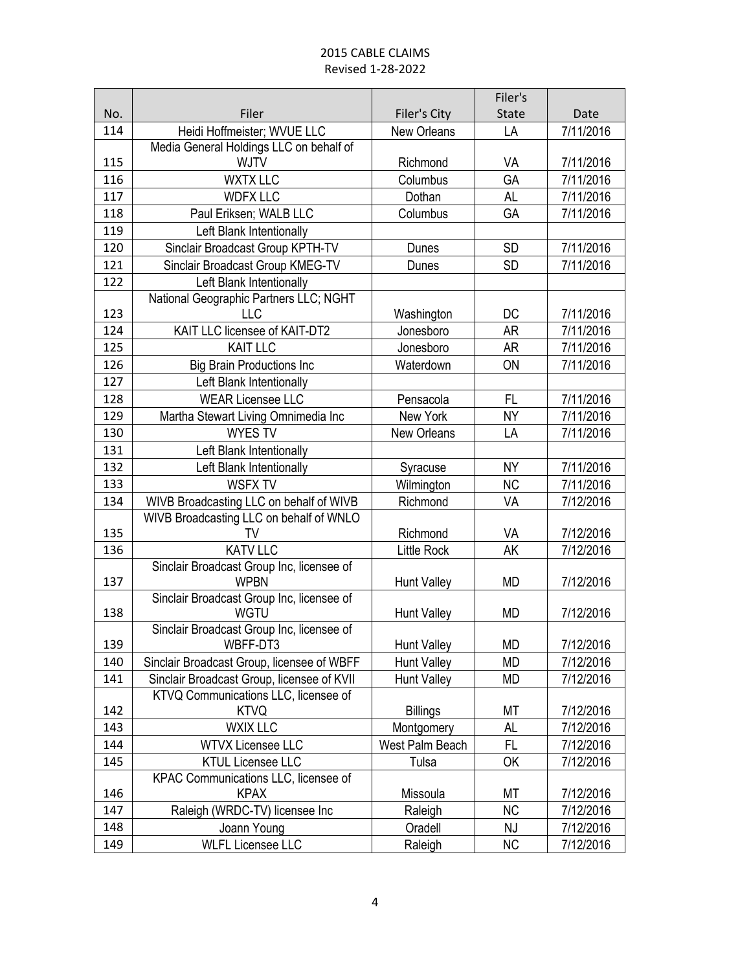|     |                                                     |                    | Filer's      |           |
|-----|-----------------------------------------------------|--------------------|--------------|-----------|
| No. | Filer                                               | Filer's City       | <b>State</b> | Date      |
| 114 | Heidi Hoffmeister; WVUE LLC                         | <b>New Orleans</b> | LA           | 7/11/2016 |
|     | Media General Holdings LLC on behalf of             |                    |              |           |
| 115 | <b>WJTV</b>                                         | Richmond           | VA           | 7/11/2016 |
| 116 | <b>WXTX LLC</b>                                     | Columbus           | GA           | 7/11/2016 |
| 117 | <b>WDFX LLC</b>                                     | Dothan             | AL           | 7/11/2016 |
| 118 | Paul Eriksen; WALB LLC                              | Columbus           | GA           | 7/11/2016 |
| 119 | Left Blank Intentionally                            |                    |              |           |
| 120 | Sinclair Broadcast Group KPTH-TV                    | Dunes              | <b>SD</b>    | 7/11/2016 |
| 121 | Sinclair Broadcast Group KMEG-TV                    | Dunes              | <b>SD</b>    | 7/11/2016 |
| 122 | Left Blank Intentionally                            |                    |              |           |
|     | National Geographic Partners LLC; NGHT              |                    |              |           |
| 123 | <b>LLC</b>                                          | Washington         | DC           | 7/11/2016 |
| 124 | KAIT LLC licensee of KAIT-DT2                       | Jonesboro          | <b>AR</b>    | 7/11/2016 |
| 125 | <b>KAIT LLC</b>                                     | Jonesboro          | AR           | 7/11/2016 |
| 126 | <b>Big Brain Productions Inc</b>                    | Waterdown          | ON           | 7/11/2016 |
| 127 | Left Blank Intentionally                            |                    |              |           |
| 128 | <b>WEAR Licensee LLC</b>                            | Pensacola          | FL           | 7/11/2016 |
| 129 | Martha Stewart Living Omnimedia Inc                 | New York           | <b>NY</b>    | 7/11/2016 |
| 130 | <b>WYES TV</b>                                      | New Orleans        | LA           | 7/11/2016 |
| 131 | Left Blank Intentionally                            |                    |              |           |
| 132 | Left Blank Intentionally                            | Syracuse           | <b>NY</b>    | 7/11/2016 |
| 133 | <b>WSFX TV</b>                                      | Wilmington         | <b>NC</b>    | 7/11/2016 |
| 134 | WIVB Broadcasting LLC on behalf of WIVB             | Richmond           | VA           | 7/12/2016 |
|     | WIVB Broadcasting LLC on behalf of WNLO             |                    |              |           |
| 135 | TV                                                  | Richmond           | VA           | 7/12/2016 |
| 136 | <b>KATV LLC</b>                                     | <b>Little Rock</b> | AK           | 7/12/2016 |
|     | Sinclair Broadcast Group Inc, licensee of           |                    |              |           |
| 137 | <b>WPBN</b>                                         | <b>Hunt Valley</b> | <b>MD</b>    | 7/12/2016 |
|     | Sinclair Broadcast Group Inc, licensee of           |                    |              |           |
| 138 | <b>WGTU</b>                                         | <b>Hunt Valley</b> | <b>MD</b>    | 7/12/2016 |
|     | Sinclair Broadcast Group Inc, licensee of           |                    |              |           |
| 139 | WBFF-DT3                                            | <b>Hunt Valley</b> | <b>MD</b>    | 7/12/2016 |
| 140 | Sinclair Broadcast Group, licensee of WBFF          | <b>Hunt Valley</b> | <b>MD</b>    | 7/12/2016 |
| 141 | Sinclair Broadcast Group, licensee of KVII          | Hunt Valley        | <b>MD</b>    | 7/12/2016 |
|     | KTVQ Communications LLC, licensee of                |                    |              |           |
| 142 | <b>KTVQ</b>                                         | <b>Billings</b>    | МT           | 7/12/2016 |
| 143 | <b>WXIX LLC</b>                                     | Montgomery         | AL           | 7/12/2016 |
| 144 | <b>WTVX Licensee LLC</b>                            | West Palm Beach    | FL           | 7/12/2016 |
| 145 | <b>KTUL Licensee LLC</b>                            | Tulsa              | OK           | 7/12/2016 |
| 146 | KPAC Communications LLC, licensee of<br><b>KPAX</b> | Missoula           | МT           | 7/12/2016 |
| 147 | Raleigh (WRDC-TV) licensee Inc                      | Raleigh            | <b>NC</b>    | 7/12/2016 |
| 148 | Joann Young                                         | Oradell            | <b>NJ</b>    | 7/12/2016 |
| 149 | <b>WLFL Licensee LLC</b>                            | Raleigh            | <b>NC</b>    | 7/12/2016 |
|     |                                                     |                    |              |           |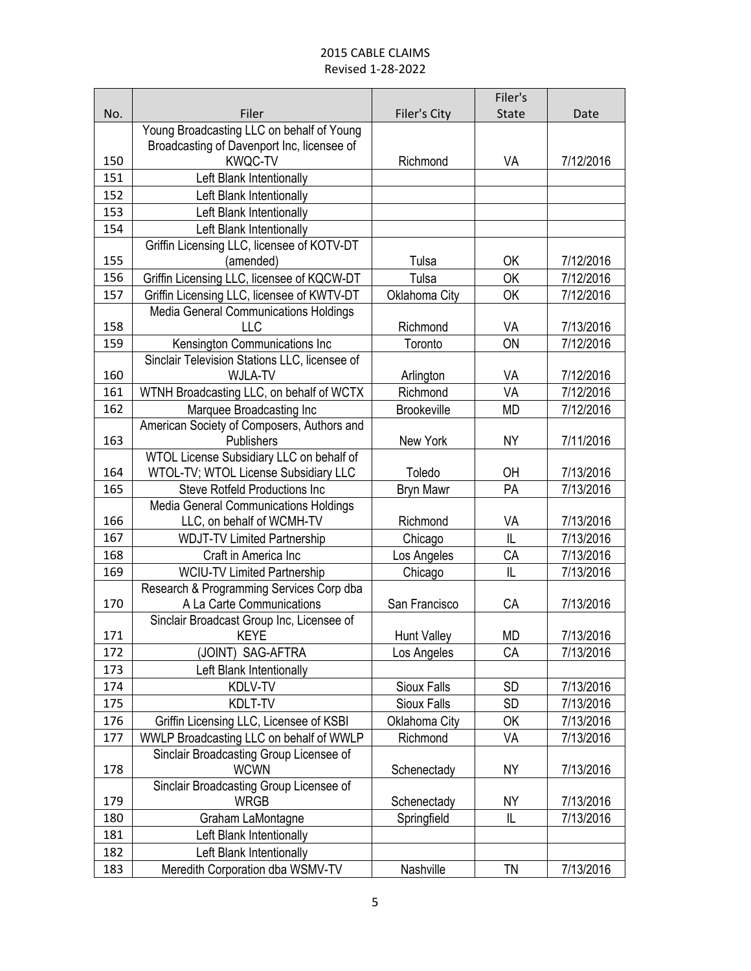|     |                                                                                         |                    | Filer's      |           |
|-----|-----------------------------------------------------------------------------------------|--------------------|--------------|-----------|
| No. | Filer                                                                                   | Filer's City       | <b>State</b> | Date      |
|     | Young Broadcasting LLC on behalf of Young<br>Broadcasting of Davenport Inc, licensee of |                    |              |           |
| 150 | <b>KWQC-TV</b>                                                                          | Richmond           | VA           | 7/12/2016 |
| 151 | Left Blank Intentionally                                                                |                    |              |           |
| 152 | Left Blank Intentionally                                                                |                    |              |           |
| 153 | Left Blank Intentionally                                                                |                    |              |           |
| 154 | Left Blank Intentionally                                                                |                    |              |           |
|     | Griffin Licensing LLC, licensee of KOTV-DT                                              |                    |              |           |
| 155 | (amended)                                                                               | Tulsa              | 0K           | 7/12/2016 |
| 156 | Griffin Licensing LLC, licensee of KQCW-DT                                              | Tulsa              | OK           | 7/12/2016 |
| 157 | Griffin Licensing LLC, licensee of KWTV-DT                                              | Oklahoma City      | OK           | 7/12/2016 |
|     | <b>Media General Communications Holdings</b>                                            |                    |              |           |
| 158 | <b>LLC</b>                                                                              | Richmond           | VA           | 7/13/2016 |
| 159 | Kensington Communications Inc                                                           | Toronto            | ON           | 7/12/2016 |
|     | Sinclair Television Stations LLC, licensee of                                           |                    |              |           |
| 160 | <b>WJLA-TV</b>                                                                          | Arlington          | VA           | 7/12/2016 |
| 161 | WTNH Broadcasting LLC, on behalf of WCTX                                                | Richmond           | VA           | 7/12/2016 |
| 162 | Marquee Broadcasting Inc                                                                | <b>Brookeville</b> | MD           | 7/12/2016 |
|     | American Society of Composers, Authors and                                              |                    |              |           |
| 163 | Publishers                                                                              | New York           | <b>NY</b>    | 7/11/2016 |
|     | WTOL License Subsidiary LLC on behalf of                                                |                    |              |           |
| 164 | WTOL-TV; WTOL License Subsidiary LLC                                                    | Toledo             | <b>OH</b>    | 7/13/2016 |
| 165 | <b>Steve Rotfeld Productions Inc.</b>                                                   | <b>Bryn Mawr</b>   | PA           | 7/13/2016 |
| 166 | Media General Communications Holdings<br>LLC, on behalf of WCMH-TV                      | Richmond           | VA           | 7/13/2016 |
| 167 | <b>WDJT-TV Limited Partnership</b>                                                      | Chicago            | IL           | 7/13/2016 |
| 168 | Craft in America Inc                                                                    | Los Angeles        | CA           | 7/13/2016 |
| 169 | <b>WCIU-TV Limited Partnership</b>                                                      | Chicago            | IL           | 7/13/2016 |
| 170 | Research & Programming Services Corp dba<br>A La Carte Communications                   | San Francisco      | CA           | 7/13/2016 |
|     | Sinclair Broadcast Group Inc, Licensee of                                               |                    |              |           |
| 171 | <b>KEYE</b>                                                                             | <b>Hunt Valley</b> | <b>MD</b>    | 7/13/2016 |
| 172 | (JOINT) SAG-AFTRA                                                                       | Los Angeles        | CA           | 7/13/2016 |
| 173 | Left Blank Intentionally                                                                |                    |              |           |
| 174 | KDLV-TV                                                                                 | <b>Sioux Falls</b> | <b>SD</b>    | 7/13/2016 |
| 175 | KDLT-TV                                                                                 | Sioux Falls        | <b>SD</b>    | 7/13/2016 |
| 176 | Griffin Licensing LLC, Licensee of KSBI                                                 | Oklahoma City      | OK           | 7/13/2016 |
| 177 | WWLP Broadcasting LLC on behalf of WWLP                                                 | Richmond           | VA           | 7/13/2016 |
|     | Sinclair Broadcasting Group Licensee of                                                 |                    |              |           |
| 178 | <b>WCWN</b>                                                                             | Schenectady        | <b>NY</b>    | 7/13/2016 |
|     | Sinclair Broadcasting Group Licensee of                                                 |                    |              |           |
| 179 | <b>WRGB</b>                                                                             | Schenectady        | <b>NY</b>    | 7/13/2016 |
| 180 | Graham LaMontagne                                                                       | Springfield        | L            | 7/13/2016 |
| 181 | Left Blank Intentionally                                                                |                    |              |           |
| 182 | Left Blank Intentionally                                                                |                    |              |           |
| 183 | Meredith Corporation dba WSMV-TV                                                        | Nashville          | TN           | 7/13/2016 |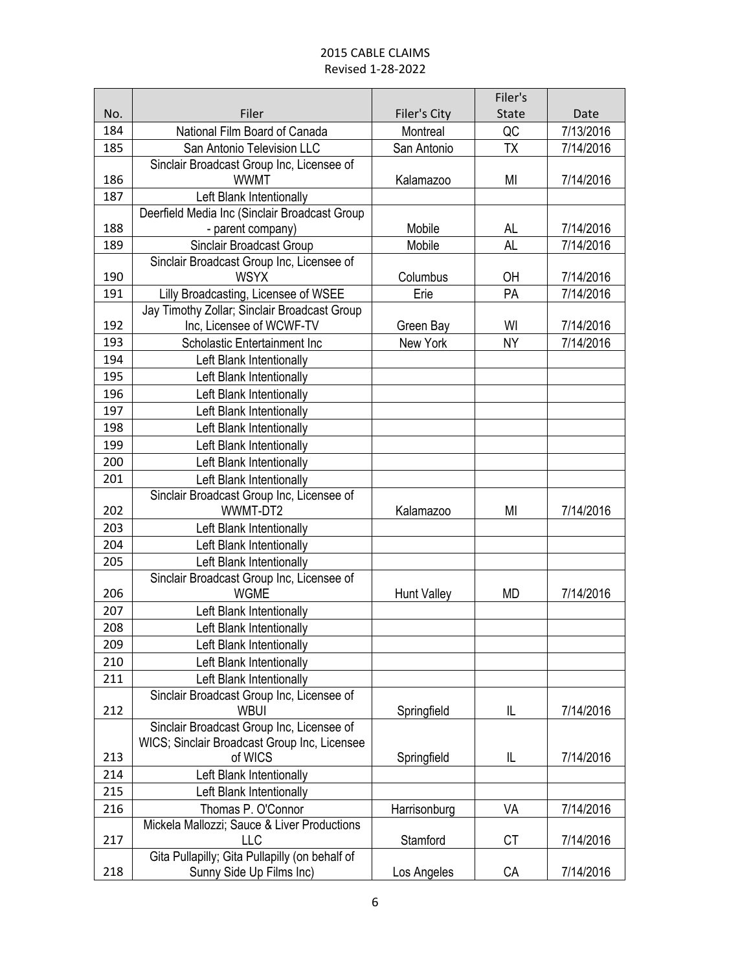|     |                                                       |                    | Filer's      |           |
|-----|-------------------------------------------------------|--------------------|--------------|-----------|
| No. | Filer                                                 | Filer's City       | <b>State</b> | Date      |
| 184 | National Film Board of Canada                         | Montreal           | QC           | 7/13/2016 |
| 185 | San Antonio Television LLC                            | San Antonio        | TX           | 7/14/2016 |
|     | Sinclair Broadcast Group Inc, Licensee of             |                    |              |           |
| 186 | <b>WWMT</b>                                           | Kalamazoo          | MI           | 7/14/2016 |
| 187 | Left Blank Intentionally                              |                    |              |           |
|     | Deerfield Media Inc (Sinclair Broadcast Group         |                    |              |           |
| 188 | - parent company)                                     | Mobile             | AL           | 7/14/2016 |
| 189 | Sinclair Broadcast Group                              | Mobile             | <b>AL</b>    | 7/14/2016 |
|     | Sinclair Broadcast Group Inc, Licensee of             |                    |              |           |
| 190 | <b>WSYX</b>                                           | Columbus           | OH           | 7/14/2016 |
| 191 | Lilly Broadcasting, Licensee of WSEE                  | Erie               | PA           | 7/14/2016 |
|     | Jay Timothy Zollar; Sinclair Broadcast Group          |                    |              |           |
| 192 | Inc, Licensee of WCWF-TV                              | Green Bay          | WI           | 7/14/2016 |
| 193 | Scholastic Entertainment Inc                          | New York           | <b>NY</b>    | 7/14/2016 |
| 194 | Left Blank Intentionally                              |                    |              |           |
| 195 | Left Blank Intentionally                              |                    |              |           |
| 196 | Left Blank Intentionally                              |                    |              |           |
| 197 | Left Blank Intentionally                              |                    |              |           |
| 198 | Left Blank Intentionally                              |                    |              |           |
| 199 | Left Blank Intentionally                              |                    |              |           |
| 200 | Left Blank Intentionally                              |                    |              |           |
| 201 | Left Blank Intentionally                              |                    |              |           |
|     | Sinclair Broadcast Group Inc, Licensee of             |                    |              |           |
| 202 | WWMT-DT2                                              | Kalamazoo          | MI           | 7/14/2016 |
| 203 | Left Blank Intentionally                              |                    |              |           |
| 204 | Left Blank Intentionally                              |                    |              |           |
| 205 | Left Blank Intentionally                              |                    |              |           |
|     | Sinclair Broadcast Group Inc, Licensee of             |                    |              |           |
| 206 | <b>WGME</b>                                           | <b>Hunt Valley</b> | MD           | 7/14/2016 |
| 207 | Left Blank Intentionally                              |                    |              |           |
| 208 | Left Blank Intentionally                              |                    |              |           |
| 209 | Left Blank Intentionally                              |                    |              |           |
| 210 | Left Blank Intentionally                              |                    |              |           |
| 211 | Left Blank Intentionally                              |                    |              |           |
|     | Sinclair Broadcast Group Inc, Licensee of             |                    |              |           |
| 212 | <b>WBUI</b>                                           | Springfield        | IL           | 7/14/2016 |
|     | Sinclair Broadcast Group Inc, Licensee of             |                    |              |           |
|     | WICS; Sinclair Broadcast Group Inc, Licensee          |                    |              |           |
| 213 | of WICS                                               | Springfield        | L            | 7/14/2016 |
| 214 | Left Blank Intentionally                              |                    |              |           |
| 215 | Left Blank Intentionally                              |                    |              |           |
| 216 | Thomas P. O'Connor                                    | Harrisonburg       | VA           | 7/14/2016 |
|     | Mickela Mallozzi; Sauce & Liver Productions           |                    |              |           |
| 217 | LLC<br>Gita Pullapilly; Gita Pullapilly (on behalf of | Stamford           | СT           | 7/14/2016 |
| 218 | Sunny Side Up Films Inc)                              | Los Angeles        | СA           | 7/14/2016 |
|     |                                                       |                    |              |           |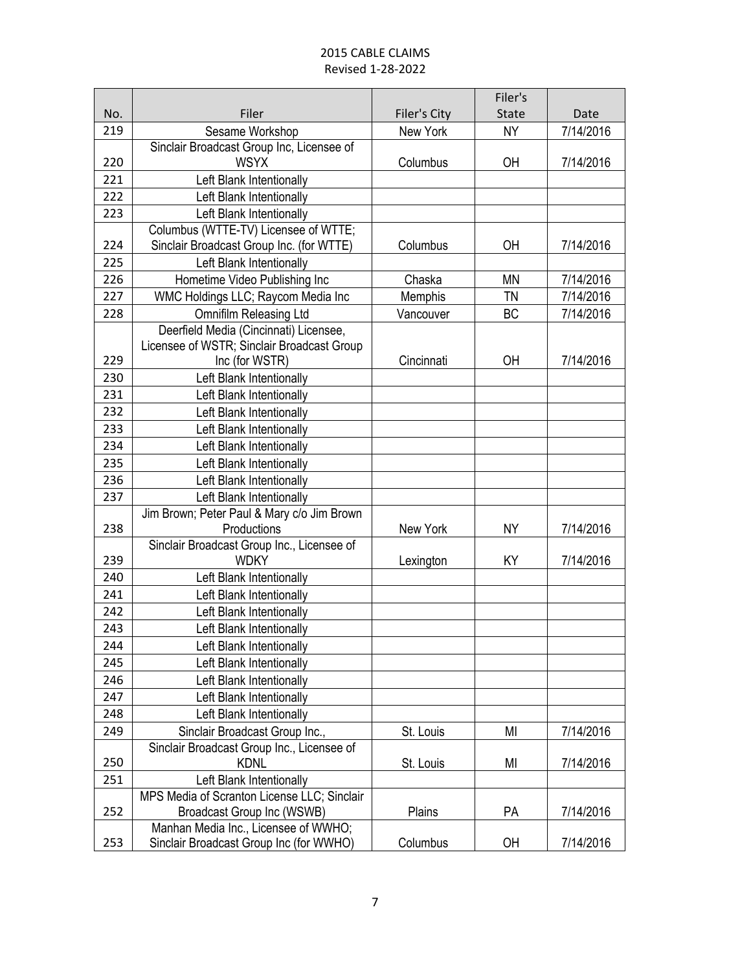|     |                                             |              | Filer's      |           |
|-----|---------------------------------------------|--------------|--------------|-----------|
| No. | Filer                                       | Filer's City | <b>State</b> | Date      |
| 219 | Sesame Workshop                             | New York     | <b>NY</b>    | 7/14/2016 |
|     | Sinclair Broadcast Group Inc, Licensee of   |              |              |           |
| 220 | <b>WSYX</b>                                 | Columbus     | <b>OH</b>    | 7/14/2016 |
| 221 | Left Blank Intentionally                    |              |              |           |
| 222 | Left Blank Intentionally                    |              |              |           |
| 223 | Left Blank Intentionally                    |              |              |           |
|     | Columbus (WTTE-TV) Licensee of WTTE;        |              |              |           |
| 224 | Sinclair Broadcast Group Inc. (for WTTE)    | Columbus     | <b>OH</b>    | 7/14/2016 |
| 225 | Left Blank Intentionally                    |              |              |           |
| 226 | Hometime Video Publishing Inc               | Chaska       | <b>MN</b>    | 7/14/2016 |
| 227 | WMC Holdings LLC; Raycom Media Inc          | Memphis      | TN           | 7/14/2016 |
| 228 | <b>Omnifilm Releasing Ltd</b>               | Vancouver    | <b>BC</b>    | 7/14/2016 |
|     | Deerfield Media (Cincinnati) Licensee,      |              |              |           |
|     | Licensee of WSTR; Sinclair Broadcast Group  |              |              |           |
| 229 | Inc (for WSTR)                              | Cincinnati   | OH           | 7/14/2016 |
| 230 | Left Blank Intentionally                    |              |              |           |
| 231 | Left Blank Intentionally                    |              |              |           |
| 232 | Left Blank Intentionally                    |              |              |           |
| 233 | Left Blank Intentionally                    |              |              |           |
| 234 | Left Blank Intentionally                    |              |              |           |
| 235 | Left Blank Intentionally                    |              |              |           |
| 236 | Left Blank Intentionally                    |              |              |           |
| 237 | Left Blank Intentionally                    |              |              |           |
|     | Jim Brown; Peter Paul & Mary c/o Jim Brown  |              |              |           |
| 238 | Productions                                 | New York     | <b>NY</b>    | 7/14/2016 |
|     | Sinclair Broadcast Group Inc., Licensee of  |              |              |           |
| 239 | <b>WDKY</b>                                 | Lexington    | KY           | 7/14/2016 |
| 240 | Left Blank Intentionally                    |              |              |           |
| 241 | Left Blank Intentionally                    |              |              |           |
| 242 | Left Blank Intentionally                    |              |              |           |
| 243 | Left Blank Intentionally                    |              |              |           |
| 244 | Left Blank Intentionally                    |              |              |           |
| 245 | Left Blank Intentionally                    |              |              |           |
| 246 | Left Blank Intentionally                    |              |              |           |
| 247 | Left Blank Intentionally                    |              |              |           |
| 248 | Left Blank Intentionally                    |              |              |           |
| 249 | Sinclair Broadcast Group Inc.,              | St. Louis    | MI           | 7/14/2016 |
|     | Sinclair Broadcast Group Inc., Licensee of  |              |              |           |
| 250 | <b>KDNL</b>                                 | St. Louis    | MI           | 7/14/2016 |
| 251 | Left Blank Intentionally                    |              |              |           |
|     | MPS Media of Scranton License LLC; Sinclair |              |              |           |
| 252 | Broadcast Group Inc (WSWB)                  | Plains       | PA           | 7/14/2016 |
|     | Manhan Media Inc., Licensee of WWHO;        |              |              |           |
| 253 | Sinclair Broadcast Group Inc (for WWHO)     | Columbus     | <b>OH</b>    | 7/14/2016 |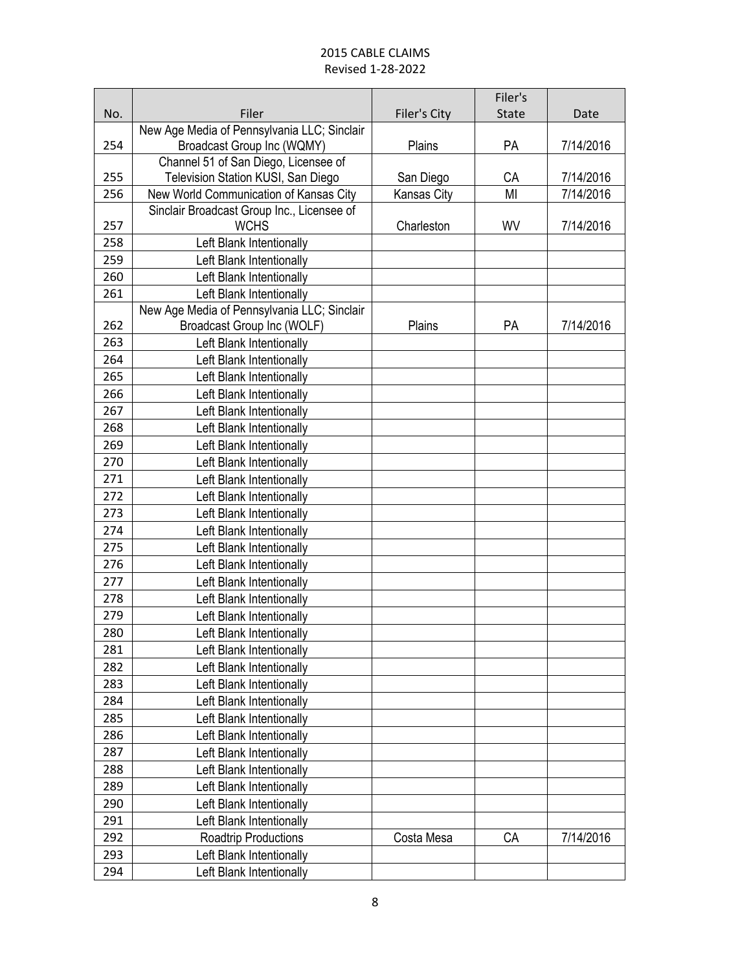|     |                                             |              | Filer's      |           |
|-----|---------------------------------------------|--------------|--------------|-----------|
| No. | Filer                                       | Filer's City | <b>State</b> | Date      |
|     | New Age Media of Pennsylvania LLC; Sinclair |              |              |           |
| 254 | Broadcast Group Inc (WQMY)                  | Plains       | PA           | 7/14/2016 |
|     | Channel 51 of San Diego, Licensee of        |              |              |           |
| 255 | Television Station KUSI, San Diego          | San Diego    | CA           | 7/14/2016 |
| 256 | New World Communication of Kansas City      | Kansas City  | MI           | 7/14/2016 |
|     | Sinclair Broadcast Group Inc., Licensee of  |              |              |           |
| 257 | <b>WCHS</b>                                 | Charleston   | WV           | 7/14/2016 |
| 258 | Left Blank Intentionally                    |              |              |           |
| 259 | Left Blank Intentionally                    |              |              |           |
| 260 | Left Blank Intentionally                    |              |              |           |
| 261 | Left Blank Intentionally                    |              |              |           |
|     | New Age Media of Pennsylvania LLC; Sinclair |              |              |           |
| 262 | Broadcast Group Inc (WOLF)                  | Plains       | PA           | 7/14/2016 |
| 263 | Left Blank Intentionally                    |              |              |           |
| 264 | Left Blank Intentionally                    |              |              |           |
| 265 | Left Blank Intentionally                    |              |              |           |
| 266 | Left Blank Intentionally                    |              |              |           |
| 267 | Left Blank Intentionally                    |              |              |           |
| 268 | Left Blank Intentionally                    |              |              |           |
| 269 | Left Blank Intentionally                    |              |              |           |
| 270 | Left Blank Intentionally                    |              |              |           |
| 271 | Left Blank Intentionally                    |              |              |           |
| 272 | Left Blank Intentionally                    |              |              |           |
| 273 | Left Blank Intentionally                    |              |              |           |
| 274 | Left Blank Intentionally                    |              |              |           |
| 275 | Left Blank Intentionally                    |              |              |           |
| 276 | Left Blank Intentionally                    |              |              |           |
| 277 | Left Blank Intentionally                    |              |              |           |
| 278 | Left Blank Intentionally                    |              |              |           |
| 279 | Left Blank Intentionally                    |              |              |           |
| 280 | Left Blank Intentionally                    |              |              |           |
| 281 | Left Blank Intentionally                    |              |              |           |
| 282 | Left Blank Intentionally                    |              |              |           |
| 283 | Left Blank Intentionally                    |              |              |           |
| 284 | Left Blank Intentionally                    |              |              |           |
| 285 | Left Blank Intentionally                    |              |              |           |
| 286 | Left Blank Intentionally                    |              |              |           |
| 287 | Left Blank Intentionally                    |              |              |           |
| 288 | Left Blank Intentionally                    |              |              |           |
| 289 | Left Blank Intentionally                    |              |              |           |
| 290 | Left Blank Intentionally                    |              |              |           |
| 291 | Left Blank Intentionally                    |              |              |           |
| 292 | Roadtrip Productions                        | Costa Mesa   | CA           | 7/14/2016 |
| 293 | Left Blank Intentionally                    |              |              |           |
| 294 | Left Blank Intentionally                    |              |              |           |
|     |                                             |              |              |           |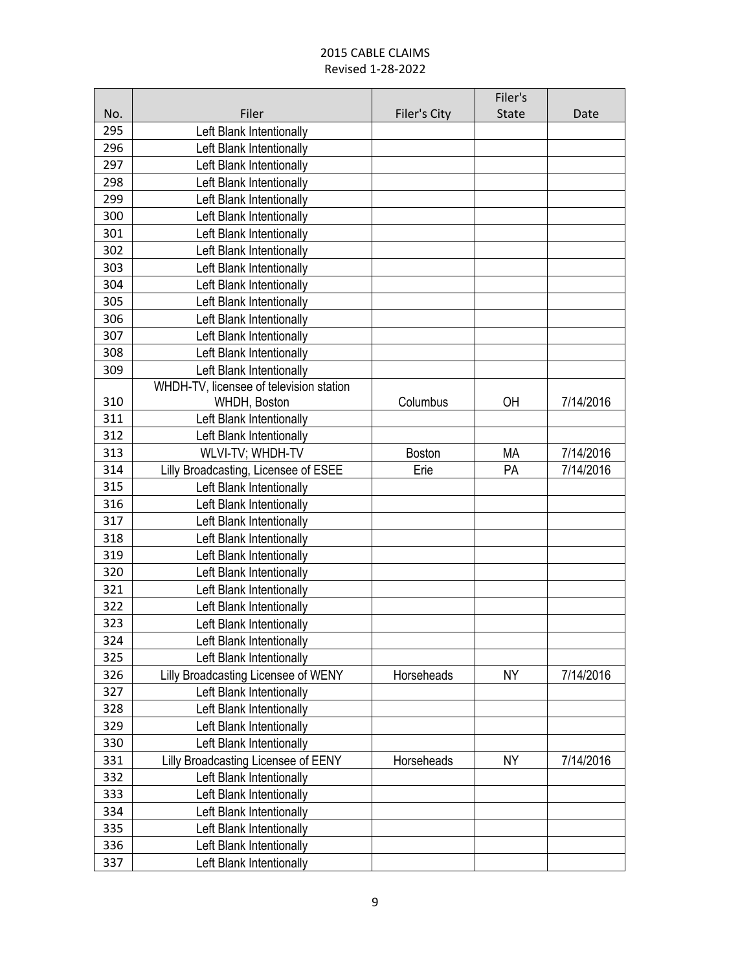|     |                                         |               | Filer's      |           |
|-----|-----------------------------------------|---------------|--------------|-----------|
| No. | Filer                                   | Filer's City  | <b>State</b> | Date      |
| 295 | Left Blank Intentionally                |               |              |           |
| 296 | Left Blank Intentionally                |               |              |           |
| 297 | Left Blank Intentionally                |               |              |           |
| 298 | Left Blank Intentionally                |               |              |           |
| 299 | Left Blank Intentionally                |               |              |           |
| 300 | Left Blank Intentionally                |               |              |           |
| 301 | Left Blank Intentionally                |               |              |           |
| 302 | Left Blank Intentionally                |               |              |           |
| 303 | Left Blank Intentionally                |               |              |           |
| 304 | Left Blank Intentionally                |               |              |           |
| 305 | Left Blank Intentionally                |               |              |           |
| 306 | Left Blank Intentionally                |               |              |           |
| 307 | Left Blank Intentionally                |               |              |           |
| 308 | Left Blank Intentionally                |               |              |           |
| 309 | Left Blank Intentionally                |               |              |           |
|     | WHDH-TV, licensee of television station |               |              |           |
| 310 | WHDH, Boston                            | Columbus      | <b>OH</b>    | 7/14/2016 |
| 311 | Left Blank Intentionally                |               |              |           |
| 312 | Left Blank Intentionally                |               |              |           |
| 313 | WLVI-TV; WHDH-TV                        | <b>Boston</b> | МA           | 7/14/2016 |
| 314 | Lilly Broadcasting, Licensee of ESEE    | Erie          | <b>PA</b>    | 7/14/2016 |
| 315 | Left Blank Intentionally                |               |              |           |
| 316 | Left Blank Intentionally                |               |              |           |
| 317 | Left Blank Intentionally                |               |              |           |
| 318 | Left Blank Intentionally                |               |              |           |
| 319 | Left Blank Intentionally                |               |              |           |
| 320 | Left Blank Intentionally                |               |              |           |
| 321 | Left Blank Intentionally                |               |              |           |
| 322 | Left Blank Intentionally                |               |              |           |
| 323 | Left Blank Intentionally                |               |              |           |
| 324 | Left Blank Intentionally                |               |              |           |
| 325 | Left Blank Intentionally                |               |              |           |
| 326 | Lilly Broadcasting Licensee of WENY     | Horseheads    | <b>NY</b>    | 7/14/2016 |
| 327 | Left Blank Intentionally                |               |              |           |
| 328 | Left Blank Intentionally                |               |              |           |
| 329 | Left Blank Intentionally                |               |              |           |
| 330 | Left Blank Intentionally                |               |              |           |
| 331 | Lilly Broadcasting Licensee of EENY     | Horseheads    | NY           | 7/14/2016 |
| 332 | Left Blank Intentionally                |               |              |           |
| 333 | Left Blank Intentionally                |               |              |           |
| 334 | Left Blank Intentionally                |               |              |           |
| 335 | Left Blank Intentionally                |               |              |           |
| 336 | Left Blank Intentionally                |               |              |           |
| 337 | Left Blank Intentionally                |               |              |           |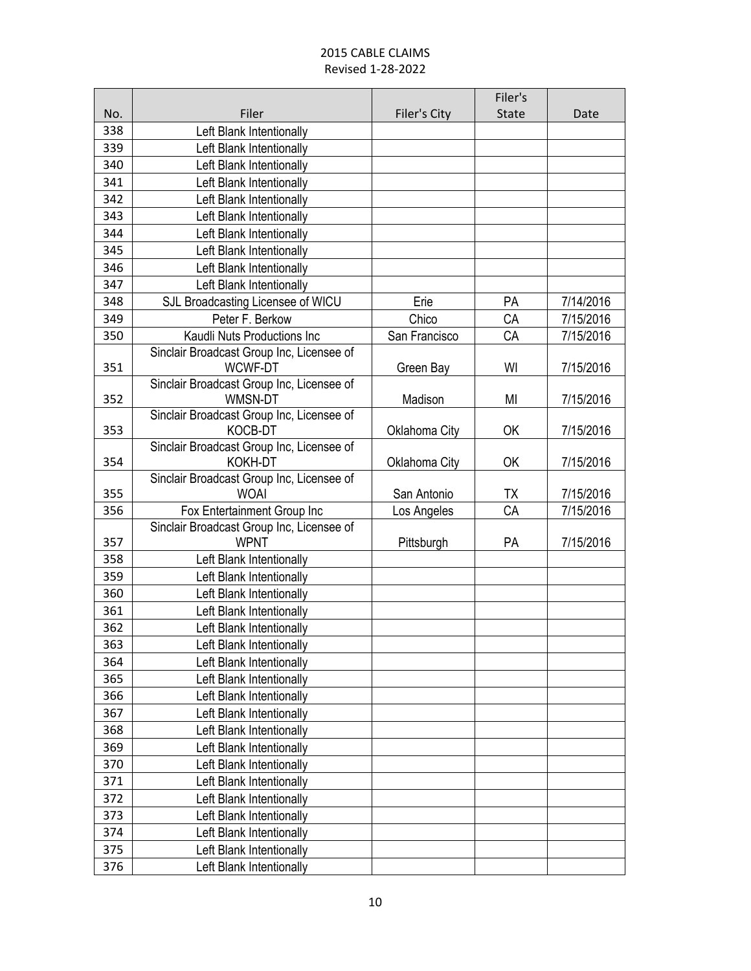|     |                                                          |               | Filer's      |           |
|-----|----------------------------------------------------------|---------------|--------------|-----------|
| No. | Filer                                                    | Filer's City  | <b>State</b> | Date      |
| 338 | Left Blank Intentionally                                 |               |              |           |
| 339 | Left Blank Intentionally                                 |               |              |           |
| 340 | Left Blank Intentionally                                 |               |              |           |
| 341 | Left Blank Intentionally                                 |               |              |           |
| 342 | Left Blank Intentionally                                 |               |              |           |
| 343 | Left Blank Intentionally                                 |               |              |           |
| 344 | Left Blank Intentionally                                 |               |              |           |
| 345 | Left Blank Intentionally                                 |               |              |           |
| 346 | Left Blank Intentionally                                 |               |              |           |
| 347 | Left Blank Intentionally                                 |               |              |           |
| 348 | SJL Broadcasting Licensee of WICU                        | Erie          | PA           | 7/14/2016 |
| 349 | Peter F. Berkow                                          | Chico         | CA           | 7/15/2016 |
| 350 | Kaudli Nuts Productions Inc                              | San Francisco | CA           | 7/15/2016 |
|     | Sinclair Broadcast Group Inc, Licensee of                |               |              |           |
| 351 | WCWF-DT                                                  | Green Bay     | WI           | 7/15/2016 |
|     | Sinclair Broadcast Group Inc, Licensee of                |               |              |           |
| 352 | <b>WMSN-DT</b>                                           | Madison       | MI           | 7/15/2016 |
|     | Sinclair Broadcast Group Inc, Licensee of                |               |              |           |
| 353 | KOCB-DT                                                  | Oklahoma City | <b>OK</b>    | 7/15/2016 |
|     | Sinclair Broadcast Group Inc, Licensee of                |               |              |           |
| 354 | <b>KOKH-DT</b>                                           | Oklahoma City | <b>OK</b>    | 7/15/2016 |
| 355 | Sinclair Broadcast Group Inc, Licensee of                |               |              |           |
|     | <b>WOAI</b>                                              | San Antonio   | TX           | 7/15/2016 |
| 356 | Fox Entertainment Group Inc                              | Los Angeles   | CA           | 7/15/2016 |
| 357 | Sinclair Broadcast Group Inc, Licensee of<br><b>WPNT</b> | Pittsburgh    | PA           | 7/15/2016 |
| 358 | Left Blank Intentionally                                 |               |              |           |
| 359 | Left Blank Intentionally                                 |               |              |           |
| 360 | Left Blank Intentionally                                 |               |              |           |
| 361 | Left Blank Intentionally                                 |               |              |           |
| 362 | Left Blank Intentionally                                 |               |              |           |
| 363 | Left Blank Intentionally                                 |               |              |           |
| 364 |                                                          |               |              |           |
| 365 | Left Blank Intentionally<br>Left Blank Intentionally     |               |              |           |
| 366 | Left Blank Intentionally                                 |               |              |           |
| 367 |                                                          |               |              |           |
|     | Left Blank Intentionally                                 |               |              |           |
| 368 | Left Blank Intentionally                                 |               |              |           |
| 369 | Left Blank Intentionally                                 |               |              |           |
| 370 | Left Blank Intentionally                                 |               |              |           |
| 371 | Left Blank Intentionally                                 |               |              |           |
| 372 | Left Blank Intentionally                                 |               |              |           |
| 373 | Left Blank Intentionally                                 |               |              |           |
| 374 | Left Blank Intentionally                                 |               |              |           |
| 375 | Left Blank Intentionally                                 |               |              |           |
| 376 | Left Blank Intentionally                                 |               |              |           |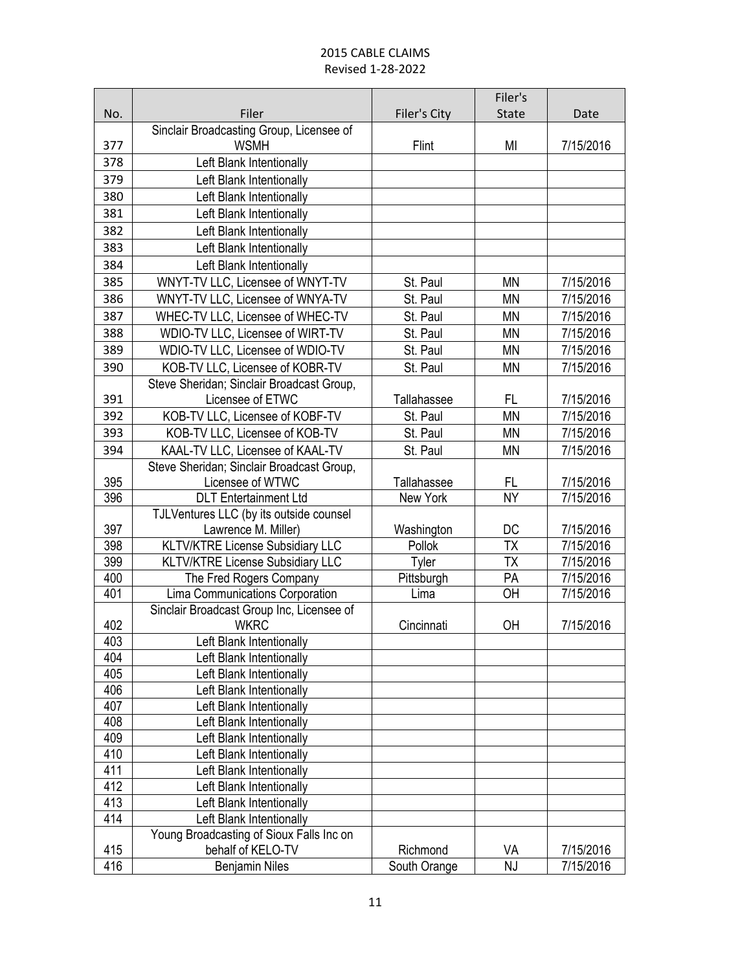|            |                                                      |                    | Filer's         |           |
|------------|------------------------------------------------------|--------------------|-----------------|-----------|
| No.        | Filer                                                | Filer's City       | <b>State</b>    | Date      |
|            | Sinclair Broadcasting Group, Licensee of             |                    |                 |           |
| 377        | <b>WSMH</b>                                          | Flint              | MI              | 7/15/2016 |
| 378        | Left Blank Intentionally                             |                    |                 |           |
| 379        | Left Blank Intentionally                             |                    |                 |           |
| 380        | Left Blank Intentionally                             |                    |                 |           |
| 381        | Left Blank Intentionally                             |                    |                 |           |
| 382        | Left Blank Intentionally                             |                    |                 |           |
| 383        | Left Blank Intentionally                             |                    |                 |           |
| 384        | Left Blank Intentionally                             |                    |                 |           |
| 385        | WNYT-TV LLC, Licensee of WNYT-TV                     | St. Paul           | <b>MN</b>       | 7/15/2016 |
| 386        | WNYT-TV LLC, Licensee of WNYA-TV                     | St. Paul           | <b>MN</b>       | 7/15/2016 |
| 387        | WHEC-TV LLC, Licensee of WHEC-TV                     | St. Paul           | <b>MN</b>       | 7/15/2016 |
| 388        | WDIO-TV LLC, Licensee of WIRT-TV                     | St. Paul           | <b>MN</b>       | 7/15/2016 |
| 389        | WDIO-TV LLC, Licensee of WDIO-TV                     | St. Paul           | <b>MN</b>       | 7/15/2016 |
| 390        | KOB-TV LLC, Licensee of KOBR-TV                      | St. Paul           | MN              | 7/15/2016 |
|            | Steve Sheridan; Sinclair Broadcast Group,            |                    |                 |           |
| 391        | Licensee of ETWC                                     | Tallahassee        | FL              | 7/15/2016 |
| 392        | KOB-TV LLC, Licensee of KOBF-TV                      | St. Paul           | <b>MN</b>       | 7/15/2016 |
| 393        | KOB-TV LLC, Licensee of KOB-TV                       | St. Paul           | <b>MN</b>       | 7/15/2016 |
| 394        | KAAL-TV LLC, Licensee of KAAL-TV                     | St. Paul           | <b>MN</b>       | 7/15/2016 |
|            | Steve Sheridan; Sinclair Broadcast Group,            |                    |                 |           |
| 395        | Licensee of WTWC                                     | <b>Tallahassee</b> | FL              | 7/15/2016 |
| 396        | <b>DLT</b> Entertainment Ltd                         | New York           | <b>NY</b>       | 7/15/2016 |
|            | TJLVentures LLC (by its outside counsel              |                    |                 |           |
| 397        | Lawrence M. Miller)                                  | Washington         | DC              | 7/15/2016 |
| 398        | KLTV/KTRE License Subsidiary LLC                     | Pollok             | $\overline{TX}$ | 7/15/2016 |
| 399        | <b>KLTV/KTRE License Subsidiary LLC</b>              | Tyler              | <b>TX</b>       | 7/15/2016 |
| 400        | The Fred Rogers Company                              | Pittsburgh         | PA              | 7/15/2016 |
| 401        | Lima Communications Corporation                      | Lima               | OH              | 7/15/2016 |
|            | Sinclair Broadcast Group Inc, Licensee of            |                    |                 |           |
| 402<br>403 | <b>WKRC</b>                                          | Cincinnati         | OH              | 7/15/2016 |
| 404        | Left Blank Intentionally<br>Left Blank Intentionally |                    |                 |           |
| 405        | Left Blank Intentionally                             |                    |                 |           |
| 406        | Left Blank Intentionally                             |                    |                 |           |
| 407        | Left Blank Intentionally                             |                    |                 |           |
| 408        | Left Blank Intentionally                             |                    |                 |           |
| 409        | Left Blank Intentionally                             |                    |                 |           |
| 410        | Left Blank Intentionally                             |                    |                 |           |
| 411        | Left Blank Intentionally                             |                    |                 |           |
| 412        | Left Blank Intentionally                             |                    |                 |           |
| 413        | Left Blank Intentionally                             |                    |                 |           |
| 414        | Left Blank Intentionally                             |                    |                 |           |
|            | Young Broadcasting of Sioux Falls Inc on             |                    |                 |           |
| 415        | behalf of KELO-TV                                    | Richmond           | VA              | 7/15/2016 |
| 416        | <b>Benjamin Niles</b>                                | South Orange       | NJ              | 7/15/2016 |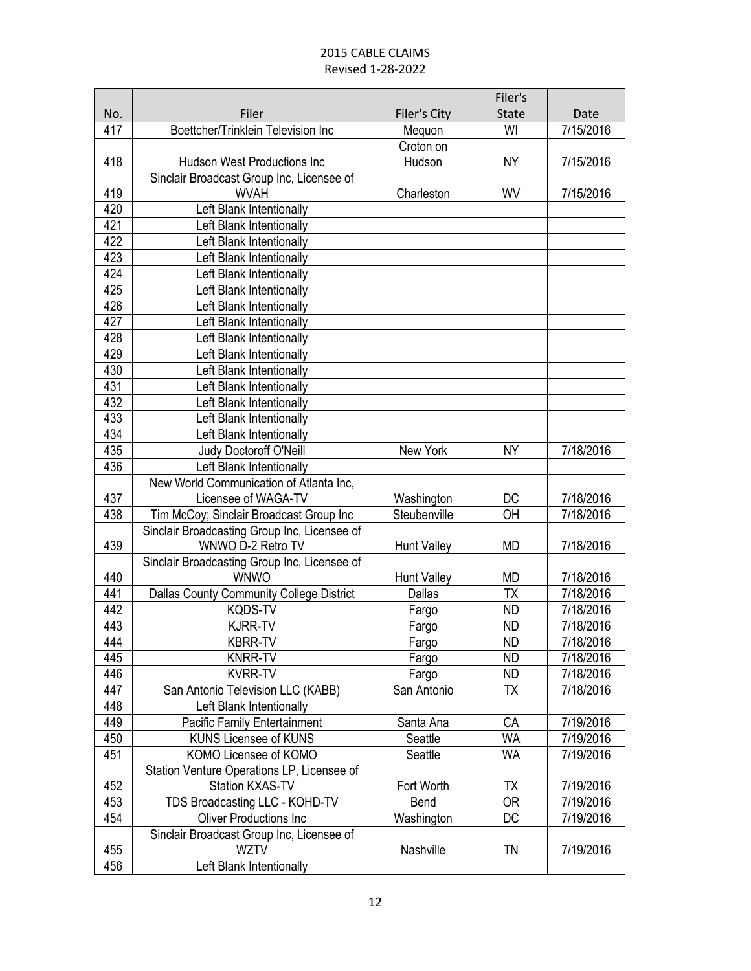|            |                                                                 |                    | Filer's                |           |
|------------|-----------------------------------------------------------------|--------------------|------------------------|-----------|
| No.        | Filer                                                           | Filer's City       | <b>State</b>           | Date      |
| 417        | Boettcher/Trinklein Television Inc                              | Mequon             | WI                     | 7/15/2016 |
|            |                                                                 | Croton on          |                        |           |
| 418        | <b>Hudson West Productions Inc</b>                              | Hudson             | <b>NY</b>              | 7/15/2016 |
|            | Sinclair Broadcast Group Inc, Licensee of                       |                    |                        |           |
| 419        | <b>WVAH</b>                                                     | Charleston         | WV                     | 7/15/2016 |
| 420        | Left Blank Intentionally                                        |                    |                        |           |
| 421        | Left Blank Intentionally                                        |                    |                        |           |
| 422        | Left Blank Intentionally                                        |                    |                        |           |
| 423        | Left Blank Intentionally                                        |                    |                        |           |
| 424        | Left Blank Intentionally                                        |                    |                        |           |
| 425        | Left Blank Intentionally                                        |                    |                        |           |
| 426        | Left Blank Intentionally                                        |                    |                        |           |
| 427        | Left Blank Intentionally                                        |                    |                        |           |
| 428        | Left Blank Intentionally                                        |                    |                        |           |
| 429        | Left Blank Intentionally                                        |                    |                        |           |
| 430        | Left Blank Intentionally                                        |                    |                        |           |
| 431        | Left Blank Intentionally                                        |                    |                        |           |
| 432        | Left Blank Intentionally                                        |                    |                        |           |
| 433        | Left Blank Intentionally                                        |                    |                        |           |
| 434        | Left Blank Intentionally                                        |                    |                        |           |
| 435        | Judy Doctoroff O'Neill                                          | New York           | <b>NY</b>              | 7/18/2016 |
| 436        | Left Blank Intentionally                                        |                    |                        |           |
|            | New World Communication of Atlanta Inc,                         |                    |                        |           |
| 437        | Licensee of WAGA-TV                                             | Washington         | DC                     | 7/18/2016 |
| 438        | Tim McCoy; Sinclair Broadcast Group Inc                         | Steubenville       | OH                     | 7/18/2016 |
|            | Sinclair Broadcasting Group Inc, Licensee of                    |                    |                        |           |
| 439        | WNWO D-2 Retro TV                                               | <b>Hunt Valley</b> | <b>MD</b>              | 7/18/2016 |
|            | Sinclair Broadcasting Group Inc, Licensee of                    |                    |                        |           |
| 440        | <b>WNWO</b>                                                     | <b>Hunt Valley</b> | <b>MD</b>              | 7/18/2016 |
| 441        | Dallas County Community College District                        | <b>Dallas</b>      | <b>TX</b>              | 7/18/2016 |
| 442        | <b>KQDS-TV</b>                                                  | Fargo              | <b>ND</b>              | 7/18/2016 |
| 443        | <b>KJRR-TV</b>                                                  | Fargo              | <b>ND</b>              | 7/18/2016 |
| 444        | KBRR-TV                                                         | Fargo              | ND.                    | 7/18/2016 |
| 445        | <b>KNRR-TV</b>                                                  | Fargo              | <b>ND</b>              | 7/18/2016 |
| 446        | <b>KVRR-TV</b>                                                  | Fargo              | <b>ND</b>              | 7/18/2016 |
| 447        | San Antonio Television LLC (KABB)                               | San Antonio        | <b>TX</b>              | 7/18/2016 |
| 448        | Left Blank Intentionally                                        |                    |                        |           |
| 449        | <b>Pacific Family Entertainment</b>                             | Santa Ana          | CA                     | 7/19/2016 |
| 450        | <b>KUNS Licensee of KUNS</b>                                    | Seattle            | WA                     | 7/19/2016 |
| 451        | KOMO Licensee of KOMO                                           | Seattle            | <b>WA</b>              | 7/19/2016 |
|            | Station Venture Operations LP, Licensee of                      |                    |                        |           |
| 452        | Station KXAS-TV                                                 | Fort Worth         | ТX                     | 7/19/2016 |
| 453<br>454 | TDS Broadcasting LLC - KOHD-TV<br><b>Oliver Productions Inc</b> | Bend               | <b>OR</b><br><b>DC</b> | 7/19/2016 |
|            |                                                                 | Washington         |                        | 7/19/2016 |
|            | Sinclair Broadcast Group Inc, Licensee of<br><b>WZTV</b>        | Nashville          | TN                     | 7/19/2016 |
| 455<br>456 |                                                                 |                    |                        |           |
|            | Left Blank Intentionally                                        |                    |                        |           |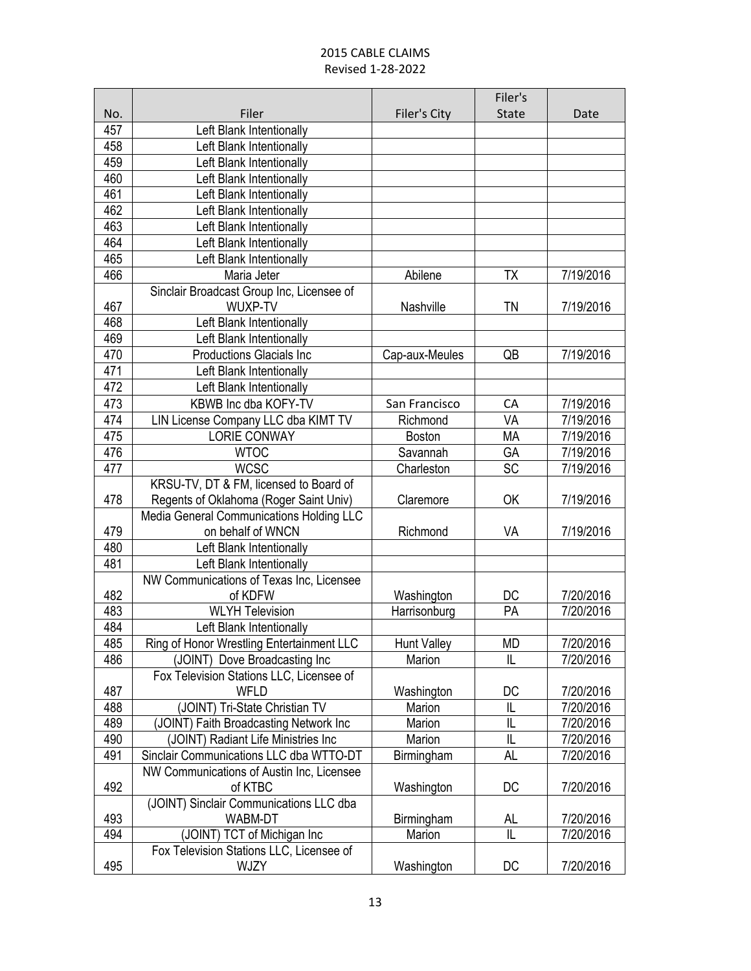|     |                                                         |                    | Filer's      |           |
|-----|---------------------------------------------------------|--------------------|--------------|-----------|
| No. | Filer                                                   | Filer's City       | <b>State</b> | Date      |
| 457 | Left Blank Intentionally                                |                    |              |           |
| 458 | Left Blank Intentionally                                |                    |              |           |
| 459 | Left Blank Intentionally                                |                    |              |           |
| 460 | Left Blank Intentionally                                |                    |              |           |
| 461 | Left Blank Intentionally                                |                    |              |           |
| 462 | Left Blank Intentionally                                |                    |              |           |
| 463 | Left Blank Intentionally                                |                    |              |           |
| 464 | Left Blank Intentionally                                |                    |              |           |
| 465 | Left Blank Intentionally                                |                    |              |           |
| 466 | Maria Jeter                                             | Abilene            | TX           | 7/19/2016 |
|     | Sinclair Broadcast Group Inc, Licensee of               |                    |              |           |
| 467 | WUXP-TV                                                 | Nashville          | ΤN           | 7/19/2016 |
| 468 | Left Blank Intentionally                                |                    |              |           |
| 469 | Left Blank Intentionally                                |                    |              |           |
| 470 | <b>Productions Glacials Inc</b>                         | Cap-aux-Meules     | QB           | 7/19/2016 |
| 471 | Left Blank Intentionally                                |                    |              |           |
| 472 | Left Blank Intentionally                                |                    |              |           |
| 473 | KBWB Inc dba KOFY-TV                                    | San Francisco      | CA           | 7/19/2016 |
| 474 | LIN License Company LLC dba KIMT TV                     | Richmond           | VA           | 7/19/2016 |
| 475 | <b>LORIE CONWAY</b>                                     | <b>Boston</b>      | <b>MA</b>    | 7/19/2016 |
| 476 | <b>WTOC</b>                                             | Savannah           | GA           | 7/19/2016 |
| 477 | <b>WCSC</b>                                             | Charleston         | SC           | 7/19/2016 |
|     | KRSU-TV, DT & FM, licensed to Board of                  |                    |              |           |
| 478 | Regents of Oklahoma (Roger Saint Univ)                  | Claremore          | OK           | 7/19/2016 |
|     | Media General Communications Holding LLC                |                    |              |           |
| 479 | on behalf of WNCN                                       | Richmond           | VA           | 7/19/2016 |
| 480 | Left Blank Intentionally                                |                    |              |           |
| 481 | Left Blank Intentionally                                |                    |              |           |
|     | NW Communications of Texas Inc, Licensee                |                    |              |           |
| 482 | of KDFW                                                 | Washington         | DC           | 7/20/2016 |
| 483 | <b>WLYH Television</b>                                  | Harrisonburg       | PA           | 7/20/2016 |
| 484 | Left Blank Intentionally                                |                    |              |           |
| 485 | Ring of Honor Wrestling Entertainment LLC               | <b>Hunt Valley</b> | MD<br>IL     | 7/20/2016 |
| 486 | (JOINT) Dove Broadcasting Inc                           | Marion             |              | 7/20/2016 |
| 487 | Fox Television Stations LLC, Licensee of<br><b>WFLD</b> | Washington         | DC           | 7/20/2016 |
| 488 | (JOINT) Tri-State Christian TV                          | Marion             | IL           | 7/20/2016 |
| 489 | (JOINT) Faith Broadcasting Network Inc                  | Marion             | L            | 7/20/2016 |
| 490 | (JOINT) Radiant Life Ministries Inc                     | Marion             | IL           | 7/20/2016 |
| 491 | Sinclair Communications LLC dba WTTO-DT                 | Birmingham         | AL           | 7/20/2016 |
|     | NW Communications of Austin Inc, Licensee               |                    |              |           |
| 492 | of KTBC                                                 | Washington         | DC           | 7/20/2016 |
|     | (JOINT) Sinclair Communications LLC dba                 |                    |              |           |
| 493 | WABM-DT                                                 | Birmingham         | AL           | 7/20/2016 |
| 494 | (JOINT) TCT of Michigan Inc                             | Marion             | IL           | 7/20/2016 |
|     | Fox Television Stations LLC, Licensee of                |                    |              |           |
| 495 | WJZY                                                    | Washington         | DC           | 7/20/2016 |
|     |                                                         |                    |              |           |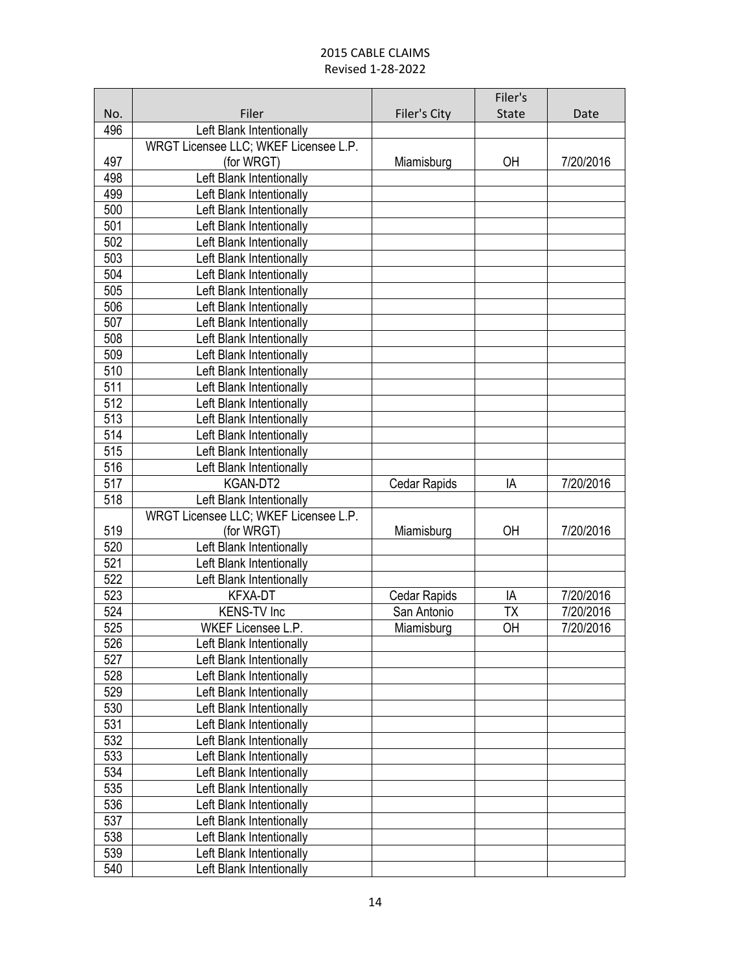|            |                                                      |              | Filer's      |           |
|------------|------------------------------------------------------|--------------|--------------|-----------|
| No.        | Filer                                                | Filer's City | <b>State</b> | Date      |
| 496        | Left Blank Intentionally                             |              |              |           |
|            | WRGT Licensee LLC; WKEF Licensee L.P.                |              |              |           |
| 497        | (for WRGT)                                           | Miamisburg   | OH           | 7/20/2016 |
| 498        | Left Blank Intentionally                             |              |              |           |
| 499        | Left Blank Intentionally                             |              |              |           |
| 500        | Left Blank Intentionally                             |              |              |           |
| 501        | Left Blank Intentionally                             |              |              |           |
| 502        | Left Blank Intentionally                             |              |              |           |
| 503        | Left Blank Intentionally                             |              |              |           |
| 504        | Left Blank Intentionally                             |              |              |           |
| 505        | Left Blank Intentionally                             |              |              |           |
| 506        | Left Blank Intentionally                             |              |              |           |
| 507        | Left Blank Intentionally                             |              |              |           |
| 508        | Left Blank Intentionally                             |              |              |           |
| 509        | Left Blank Intentionally                             |              |              |           |
| 510        | Left Blank Intentionally                             |              |              |           |
| 511        | Left Blank Intentionally                             |              |              |           |
| 512        | Left Blank Intentionally                             |              |              |           |
| 513        | Left Blank Intentionally                             |              |              |           |
| 514        | Left Blank Intentionally                             |              |              |           |
| 515        | Left Blank Intentionally                             |              |              |           |
| 516        | Left Blank Intentionally                             |              |              |           |
| 517        | KGAN-DT2                                             | Cedar Rapids | IA           | 7/20/2016 |
| 518        | Left Blank Intentionally                             |              |              |           |
|            | WRGT Licensee LLC; WKEF Licensee L.P.                |              |              |           |
| 519        | (for WRGT)                                           | Miamisburg   | OH           | 7/20/2016 |
| 520        | Left Blank Intentionally                             |              |              |           |
| 521        | Left Blank Intentionally                             |              |              |           |
| 522        | Left Blank Intentionally                             |              |              |           |
| 523        | KFXA-DT                                              | Cedar Rapids | IA           | 7/20/2016 |
| 524        | <b>KENS-TV Inc</b>                                   | San Antonio  | <b>ΤΧ</b>    | 7/20/2016 |
| 525        | WKEF Licensee L.P.                                   | Miamisburg   | OH           | 7/20/2016 |
| 526        | Left Blank Intentionally                             |              |              |           |
| 527        | Left Blank Intentionally                             |              |              |           |
| 528        | Left Blank Intentionally                             |              |              |           |
| 529        | Left Blank Intentionally                             |              |              |           |
| 530<br>531 | Left Blank Intentionally<br>Left Blank Intentionally |              |              |           |
|            |                                                      |              |              |           |
| 532<br>533 | Left Blank Intentionally                             |              |              |           |
|            | Left Blank Intentionally                             |              |              |           |
| 534<br>535 | Left Blank Intentionally<br>Left Blank Intentionally |              |              |           |
| 536        |                                                      |              |              |           |
| 537        | Left Blank Intentionally<br>Left Blank Intentionally |              |              |           |
| 538        | Left Blank Intentionally                             |              |              |           |
| 539        | Left Blank Intentionally                             |              |              |           |
| 540        | Left Blank Intentionally                             |              |              |           |
|            |                                                      |              |              |           |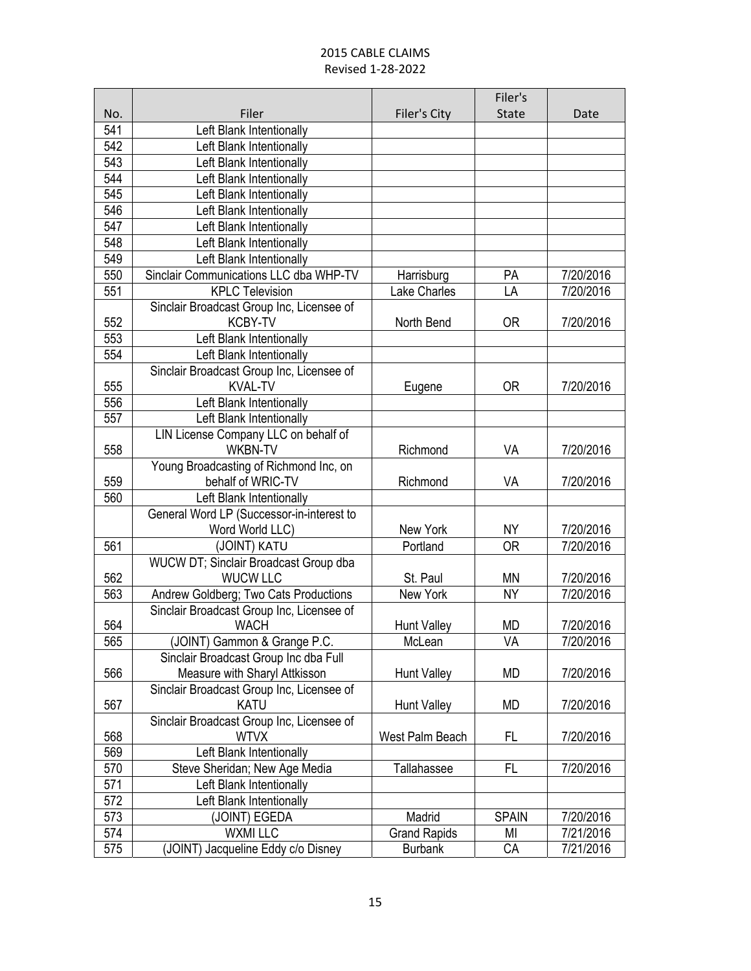|     |                                           |                     | Filer's      |           |
|-----|-------------------------------------------|---------------------|--------------|-----------|
| No. | Filer                                     | Filer's City        | <b>State</b> | Date      |
| 541 | Left Blank Intentionally                  |                     |              |           |
| 542 | Left Blank Intentionally                  |                     |              |           |
| 543 | Left Blank Intentionally                  |                     |              |           |
| 544 | Left Blank Intentionally                  |                     |              |           |
| 545 | Left Blank Intentionally                  |                     |              |           |
| 546 | Left Blank Intentionally                  |                     |              |           |
| 547 | Left Blank Intentionally                  |                     |              |           |
| 548 | Left Blank Intentionally                  |                     |              |           |
| 549 | Left Blank Intentionally                  |                     |              |           |
| 550 | Sinclair Communications LLC dba WHP-TV    | Harrisburg          | PA           | 7/20/2016 |
| 551 | <b>KPLC Television</b>                    | Lake Charles        | LA           | 7/20/2016 |
|     | Sinclair Broadcast Group Inc, Licensee of |                     |              |           |
| 552 | <b>KCBY-TV</b>                            | North Bend          | <b>OR</b>    | 7/20/2016 |
| 553 | Left Blank Intentionally                  |                     |              |           |
| 554 | Left Blank Intentionally                  |                     |              |           |
|     | Sinclair Broadcast Group Inc, Licensee of |                     |              |           |
| 555 | <b>KVAL-TV</b>                            | Eugene              | 0R           | 7/20/2016 |
| 556 | Left Blank Intentionally                  |                     |              |           |
| 557 | Left Blank Intentionally                  |                     |              |           |
|     | LIN License Company LLC on behalf of      |                     |              |           |
| 558 | <b>WKBN-TV</b>                            | Richmond            | VA           | 7/20/2016 |
|     | Young Broadcasting of Richmond Inc, on    |                     |              |           |
| 559 | behalf of WRIC-TV                         | Richmond            | VA           | 7/20/2016 |
| 560 | Left Blank Intentionally                  |                     |              |           |
|     | General Word LP (Successor-in-interest to |                     |              |           |
|     | Word World LLC)                           | New York            | <b>NY</b>    | 7/20/2016 |
| 561 | (JOINT) KATU                              | Portland            | <b>OR</b>    | 7/20/2016 |
|     | WUCW DT; Sinclair Broadcast Group dba     |                     |              |           |
| 562 | <b>WUCW LLC</b>                           | St. Paul            | MN           | 7/20/2016 |
| 563 | Andrew Goldberg; Two Cats Productions     | New York            | <b>NY</b>    | 7/20/2016 |
|     | Sinclair Broadcast Group Inc, Licensee of |                     |              |           |
| 564 | <b>WACH</b>                               | <b>Hunt Valley</b>  | MD           | 7/20/2016 |
| 565 | (JOINT) Gammon & Grange P.C.              | McLean              | VA           | 7/20/2016 |
|     | Sinclair Broadcast Group Inc dba Full     |                     |              |           |
| 566 | Measure with Sharyl Attkisson             | <b>Hunt Valley</b>  | MD           | 7/20/2016 |
|     | Sinclair Broadcast Group Inc, Licensee of |                     |              |           |
| 567 | <b>KATU</b>                               | <b>Hunt Valley</b>  | MD           | 7/20/2016 |
|     | Sinclair Broadcast Group Inc, Licensee of |                     |              |           |
| 568 | <b>WTVX</b>                               | West Palm Beach     | FL           | 7/20/2016 |
| 569 | Left Blank Intentionally                  |                     |              |           |
| 570 | Steve Sheridan; New Age Media             | <b>Tallahassee</b>  | FL           | 7/20/2016 |
| 571 | Left Blank Intentionally                  |                     |              |           |
| 572 | Left Blank Intentionally                  |                     |              |           |
| 573 | (JOINT) EGEDA                             | Madrid              | <b>SPAIN</b> | 7/20/2016 |
| 574 | <b>WXMI LLC</b>                           | <b>Grand Rapids</b> | MI           | 7/21/2016 |
| 575 | (JOINT) Jacqueline Eddy c/o Disney        | <b>Burbank</b>      | СA           | 7/21/2016 |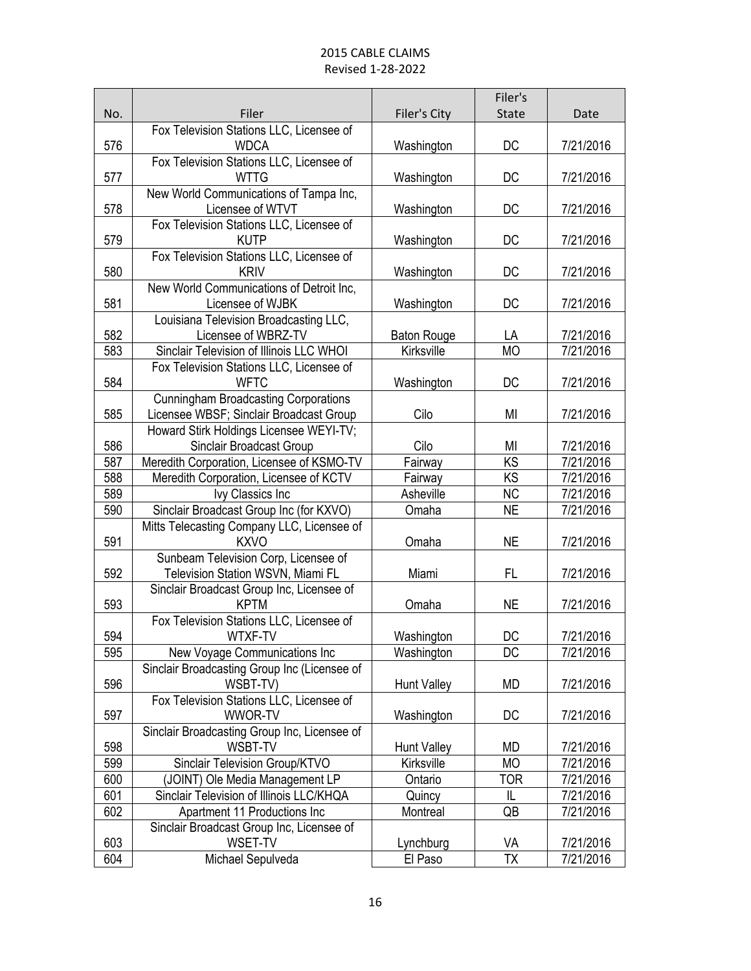|     |                                                         |                          | Filer's                |           |
|-----|---------------------------------------------------------|--------------------------|------------------------|-----------|
| No. | Filer                                                   | Filer's City             | State                  | Date      |
|     | Fox Television Stations LLC, Licensee of                |                          |                        |           |
| 576 | <b>WDCA</b>                                             | Washington               | DC                     | 7/21/2016 |
|     | Fox Television Stations LLC, Licensee of                |                          |                        |           |
| 577 | <b>WTTG</b>                                             | Washington               | DC                     | 7/21/2016 |
|     | New World Communications of Tampa Inc,                  |                          |                        |           |
| 578 | Licensee of WTVT                                        | Washington               | DC                     | 7/21/2016 |
|     | Fox Television Stations LLC, Licensee of                |                          |                        |           |
| 579 | <b>KUTP</b><br>Fox Television Stations LLC, Licensee of | Washington               | DC                     | 7/21/2016 |
| 580 | <b>KRIV</b>                                             | Washington               | DC                     | 7/21/2016 |
|     | New World Communications of Detroit Inc,                |                          |                        |           |
| 581 | Licensee of WJBK                                        | Washington               | DC                     | 7/21/2016 |
|     | Louisiana Television Broadcasting LLC,                  |                          |                        |           |
| 582 | Licensee of WBRZ-TV                                     | <b>Baton Rouge</b>       | LA                     | 7/21/2016 |
| 583 | Sinclair Television of Illinois LLC WHOI                | Kirksville               | <b>MO</b>              | 7/21/2016 |
|     | Fox Television Stations LLC, Licensee of                |                          |                        |           |
| 584 | <b>WFTC</b>                                             | Washington               | DC                     | 7/21/2016 |
|     | <b>Cunningham Broadcasting Corporations</b>             |                          |                        |           |
| 585 | Licensee WBSF; Sinclair Broadcast Group                 | Cilo                     | MI                     | 7/21/2016 |
|     | Howard Stirk Holdings Licensee WEYI-TV;                 |                          |                        |           |
| 586 | Sinclair Broadcast Group                                | Cilo                     | MI                     | 7/21/2016 |
| 587 | Meredith Corporation, Licensee of KSMO-TV               | Fairway                  | KS                     | 7/21/2016 |
| 588 | Meredith Corporation, Licensee of KCTV                  | Fairway                  | $\overline{\text{KS}}$ | 7/21/2016 |
| 589 | Ivy Classics Inc                                        | Asheville                | <b>NC</b>              | 7/21/2016 |
| 590 | Sinclair Broadcast Group Inc (for KXVO)                 | Omaha                    | <b>NE</b>              | 7/21/2016 |
|     | Mitts Telecasting Company LLC, Licensee of              |                          |                        |           |
| 591 | <b>KXVO</b>                                             | Omaha                    | <b>NE</b>              | 7/21/2016 |
|     | Sunbeam Television Corp, Licensee of                    |                          |                        |           |
| 592 | Television Station WSVN, Miami FL                       | Miami                    | FL                     | 7/21/2016 |
|     | Sinclair Broadcast Group Inc, Licensee of               |                          |                        |           |
| 593 | <b>KPTM</b>                                             | Omaha                    | <b>NE</b>              | 7/21/2016 |
| 594 | Fox Television Stations LLC, Licensee of<br>WTXF-TV     |                          | DC                     | 7/21/2016 |
| 595 | New Voyage Communications Inc                           | Washington<br>Washington | <b>DC</b>              | 7/21/2016 |
|     | Sinclair Broadcasting Group Inc (Licensee of            |                          |                        |           |
| 596 | WSBT-TV)                                                | <b>Hunt Valley</b>       | <b>MD</b>              | 7/21/2016 |
|     | Fox Television Stations LLC, Licensee of                |                          |                        |           |
| 597 | <b>WWOR-TV</b>                                          | Washington               | DC                     | 7/21/2016 |
|     | Sinclair Broadcasting Group Inc, Licensee of            |                          |                        |           |
| 598 | <b>WSBT-TV</b>                                          | Hunt Valley              | MD                     | 7/21/2016 |
| 599 | Sinclair Television Group/KTVO                          | Kirksville               | МO                     | 7/21/2016 |
| 600 | (JOINT) Ole Media Management LP                         | Ontario                  | TOR                    | 7/21/2016 |
| 601 | Sinclair Television of Illinois LLC/KHQA                | Quincy                   | IL                     | 7/21/2016 |
| 602 | Apartment 11 Productions Inc                            | Montreal                 | QB                     | 7/21/2016 |
|     | Sinclair Broadcast Group Inc, Licensee of               |                          |                        |           |
| 603 | WSET-TV                                                 | Lynchburg                | VA                     | 7/21/2016 |
| 604 | Michael Sepulveda                                       | El Paso                  | ТX                     | 7/21/2016 |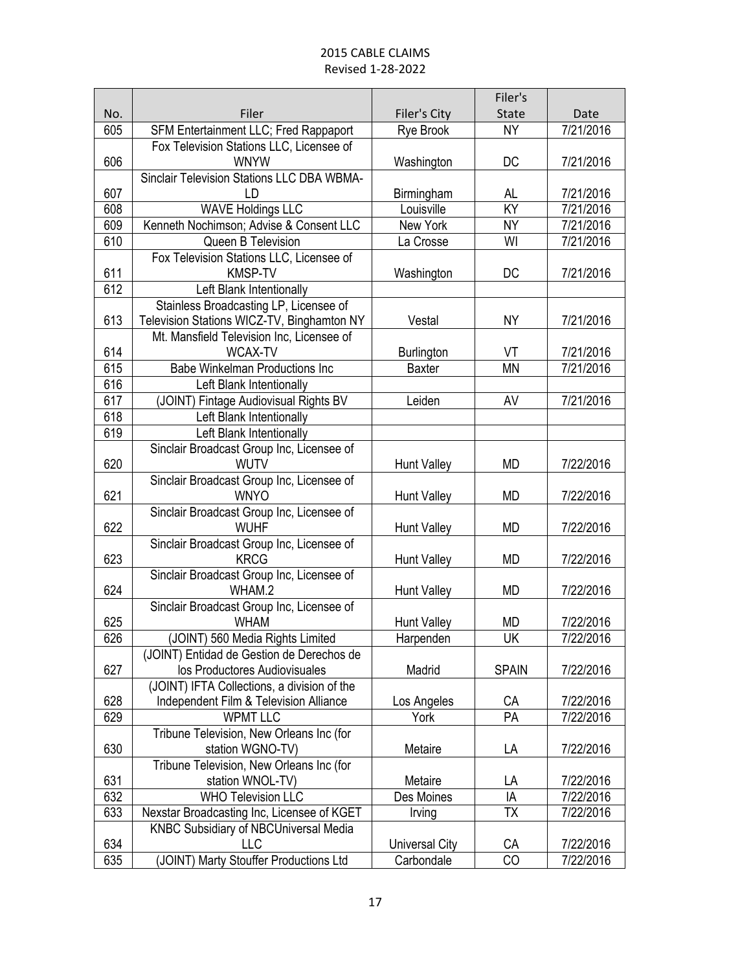|     |                                                          |                                 | Filer's      |           |
|-----|----------------------------------------------------------|---------------------------------|--------------|-----------|
| No. | Filer                                                    | Filer's City                    | State        | Date      |
| 605 | SFM Entertainment LLC; Fred Rappaport                    | Rye Brook                       | NY           | 7/21/2016 |
|     | Fox Television Stations LLC, Licensee of                 |                                 |              |           |
| 606 | <b>WNYW</b>                                              | Washington                      | DC           | 7/21/2016 |
|     | Sinclair Television Stations LLC DBA WBMA-               |                                 |              |           |
| 607 | LD                                                       | Birmingham                      | AL.          | 7/21/2016 |
| 608 | <b>WAVE Holdings LLC</b>                                 | Louisville                      | ΚŸ           | 7/21/2016 |
| 609 | Kenneth Nochimson; Advise & Consent LLC                  | New York                        | <b>NY</b>    | 7/21/2016 |
| 610 | Queen B Television                                       | La Crosse                       | WI           | 7/21/2016 |
|     | Fox Television Stations LLC, Licensee of                 |                                 |              |           |
| 611 | <b>KMSP-TV</b>                                           | Washington                      | DC           | 7/21/2016 |
| 612 | Left Blank Intentionally                                 |                                 |              |           |
|     | Stainless Broadcasting LP, Licensee of                   |                                 |              |           |
| 613 | Television Stations WICZ-TV, Binghamton NY               | Vestal                          | NY           | 7/21/2016 |
|     | Mt. Mansfield Television Inc, Licensee of                |                                 |              |           |
| 614 | <b>WCAX-TV</b>                                           | Burlington                      | VT           | 7/21/2016 |
| 615 | <b>Babe Winkelman Productions Inc</b>                    | <b>Baxter</b>                   | <b>MN</b>    | 7/21/2016 |
| 616 | Left Blank Intentionally                                 |                                 |              |           |
| 617 | (JOINT) Fintage Audiovisual Rights BV                    | Leiden                          | AV           | 7/21/2016 |
| 618 | Left Blank Intentionally                                 |                                 |              |           |
| 619 | Left Blank Intentionally                                 |                                 |              |           |
|     | Sinclair Broadcast Group Inc, Licensee of                |                                 |              |           |
| 620 | <b>WUTV</b>                                              | Hunt Valley                     | MD           | 7/22/2016 |
|     | Sinclair Broadcast Group Inc, Licensee of                |                                 |              |           |
| 621 | <b>WNYO</b>                                              | Hunt Valley                     | <b>MD</b>    | 7/22/2016 |
|     | Sinclair Broadcast Group Inc, Licensee of                |                                 |              |           |
| 622 | <b>WUHF</b>                                              | Hunt Valley                     | <b>MD</b>    | 7/22/2016 |
|     | Sinclair Broadcast Group Inc, Licensee of                |                                 |              |           |
| 623 | <b>KRCG</b><br>Sinclair Broadcast Group Inc, Licensee of | Hunt Valley                     | <b>MD</b>    | 7/22/2016 |
| 624 | WHAM.2                                                   | <b>Hunt Valley</b>              | <b>MD</b>    | 7/22/2016 |
|     | Sinclair Broadcast Group Inc, Licensee of                |                                 |              |           |
| 625 | <b>WHAM</b>                                              |                                 | МD           | 7/22/2016 |
| 626 | (JOINT) 560 Media Rights Limited                         | <b>Hunt Valley</b><br>Harpenden | UK           | 7/22/2016 |
|     | (JOINT) Entidad de Gestion de Derechos de                |                                 |              |           |
| 627 | los Productores Audiovisuales                            | Madrid                          | <b>SPAIN</b> | 7/22/2016 |
|     | (JOINT) IFTA Collections, a division of the              |                                 |              |           |
| 628 | Independent Film & Television Alliance                   | Los Angeles                     | СA           | 7/22/2016 |
| 629 | <b>WPMT LLC</b>                                          | York                            | PA           | 7/22/2016 |
|     | Tribune Television, New Orleans Inc (for                 |                                 |              |           |
| 630 | station WGNO-TV)                                         | Metaire                         | LA           | 7/22/2016 |
|     | Tribune Television, New Orleans Inc (for                 |                                 |              |           |
| 631 | station WNOL-TV)                                         | Metaire                         | LA           | 7/22/2016 |
| 632 | <b>WHO Television LLC</b>                                | Des Moines                      | IA           | 7/22/2016 |
| 633 | Nexstar Broadcasting Inc, Licensee of KGET               | Irving                          | <b>ΤX</b>    | 7/22/2016 |
|     | KNBC Subsidiary of NBCUniversal Media                    |                                 |              |           |
| 634 | <b>LLC</b>                                               | <b>Universal City</b>           | СA           | 7/22/2016 |
| 635 | (JOINT) Marty Stouffer Productions Ltd                   | Carbondale                      | CO           | 7/22/2016 |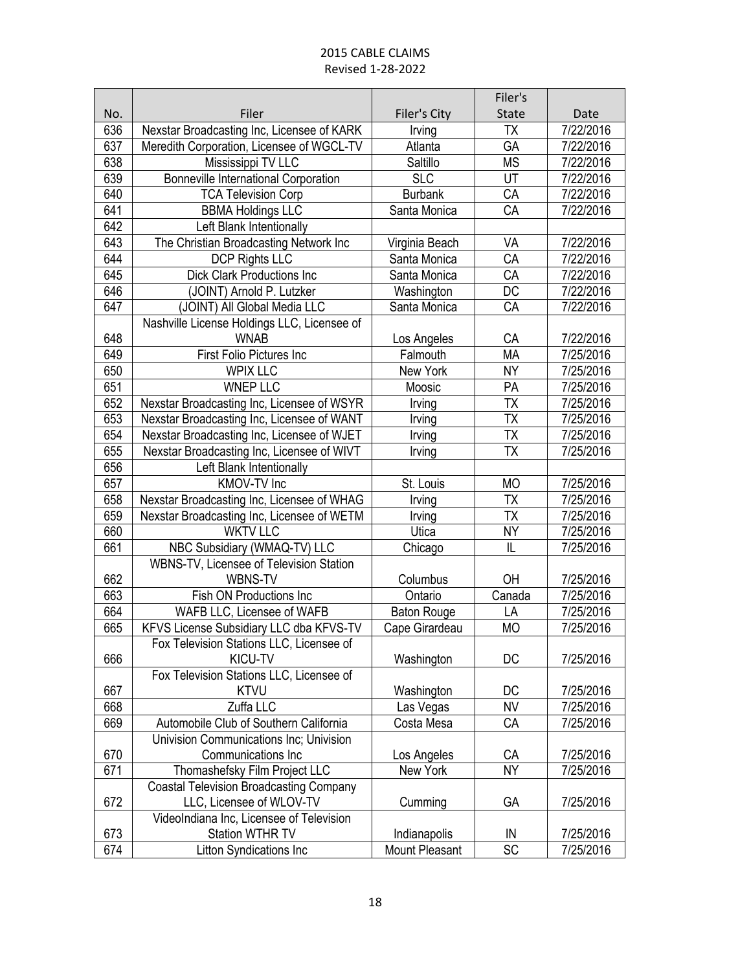|            |                                                |                    | Filer's                  |                        |
|------------|------------------------------------------------|--------------------|--------------------------|------------------------|
| No.        | Filer                                          | Filer's City       | <b>State</b>             | Date                   |
| 636        | Nexstar Broadcasting Inc, Licensee of KARK     | Irving             | <b>ΤΧ</b>                | 7/22/2016              |
| 637        | Meredith Corporation, Licensee of WGCL-TV      | Atlanta            | $G\overline{A}$          | 7/22/2016              |
| 638        | Mississippi TV LLC                             | Saltillo           | MS                       | 7/22/2016              |
| 639        | <b>Bonneville International Corporation</b>    | <b>SLC</b>         | UT                       | 7/22/2016              |
| 640        | <b>TCA Television Corp</b>                     | <b>Burbank</b>     | CA                       | 7/22/2016              |
| 641        | <b>BBMA Holdings LLC</b>                       | Santa Monica       | CA                       | 7/22/2016              |
| 642        | Left Blank Intentionally                       |                    |                          |                        |
| 643        | The Christian Broadcasting Network Inc         | Virginia Beach     | VA                       | 7/22/2016              |
| 644        | <b>DCP Rights LLC</b>                          | Santa Monica       | CA                       | 7/22/2016              |
| 645        | <b>Dick Clark Productions Inc</b>              | Santa Monica       | CA                       | 7/22/2016              |
| 646        | (JOINT) Arnold P. Lutzker                      | Washington         | DC                       | 7/22/2016              |
| 647        | (JOINT) All Global Media LLC                   | Santa Monica       | CA                       | 7/22/2016              |
|            | Nashville License Holdings LLC, Licensee of    |                    |                          |                        |
| 648        | <b>WNAB</b>                                    | Los Angeles        | СA                       | 7/22/2016              |
| 649        | <b>First Folio Pictures Inc</b>                | Falmouth           | <b>MA</b>                | 7/25/2016              |
| 650        | <b>WPIX LLC</b>                                | New York           | NY <sub></sub>           | 7/25/2016              |
| 651        | <b>WNEP LLC</b>                                | Moosic             | PA                       | 7/25/2016              |
| 652        | Nexstar Broadcasting Inc, Licensee of WSYR     | Irving             | TΧ                       | 7/25/2016              |
| 653        | Nexstar Broadcasting Inc, Licensee of WANT     | Irving             | $\overline{\mathsf{TX}}$ | 7/25/2016              |
| 654        | Nexstar Broadcasting Inc, Licensee of WJET     | Irving             | <b>TX</b>                | 7/25/2016              |
| 655        | Nexstar Broadcasting Inc, Licensee of WIVT     | Irving             | $\overline{\mathsf{TX}}$ | 7/25/2016              |
| 656        | Left Blank Intentionally                       |                    |                          |                        |
| 657        | KMOV-TV Inc                                    | St. Louis          | <b>MO</b>                | 7/25/2016              |
| 658        | Nexstar Broadcasting Inc, Licensee of WHAG     | Irving             | TΧ                       | 7/25/2016              |
| 659        | Nexstar Broadcasting Inc, Licensee of WETM     | Irving             | <b>ΤX</b>                | 7/25/2016              |
| 660        | <b>WKTV LLC</b>                                | Utica              | <b>NY</b>                | 7/25/2016              |
| 661        | NBC Subsidiary (WMAQ-TV) LLC                   | Chicago            | $\overline{\mathsf{L}}$  | 7/25/2016              |
|            | WBNS-TV, Licensee of Television Station        |                    |                          |                        |
| 662        | WBNS-TV                                        | Columbus           | OH                       | 7/25/2016              |
| 663        | Fish ON Productions Inc                        | Ontario            | Canada                   | 7/25/2016              |
| 664        | WAFB LLC, Licensee of WAFB                     | <b>Baton Rouge</b> | LA                       | 7/25/2016              |
| 665        | KFVS License Subsidiary LLC dba KFVS-TV        | Cape Girardeau     | <b>MO</b>                | 7/25/2016              |
|            | Fox Television Stations LLC, Licensee of       |                    |                          |                        |
| 666        | KICU-TV                                        | Washington         | DC                       | 7/25/2016              |
|            | Fox Television Stations LLC, Licensee of       |                    |                          |                        |
| 667        | <b>KTVU</b>                                    | Washington         | DC                       | 7/25/2016              |
| 668        | Zuffa LLC                                      | Las Vegas          | <b>NV</b>                | 7/25/2016              |
| 669        | Automobile Club of Southern California         | Costa Mesa         | CA                       | 7/25/2016              |
|            | Univision Communications Inc; Univision        |                    |                          |                        |
| 670        | Communications Inc                             | Los Angeles        | СA                       | 7/25/2016              |
| 671        | Thomashefsky Film Project LLC                  | New York           | <b>NY</b>                | 7/25/2016              |
|            | <b>Coastal Television Broadcasting Company</b> |                    |                          |                        |
| 672        | LLC, Licensee of WLOV-TV                       | Cumming            | GA                       | 7/25/2016              |
|            | VideoIndiana Inc, Licensee of Television       |                    |                          |                        |
| 673<br>674 | Station WTHR TV                                | Indianapolis       | IN<br>SC                 | 7/25/2016<br>7/25/2016 |
|            | Litton Syndications Inc                        | Mount Pleasant     |                          |                        |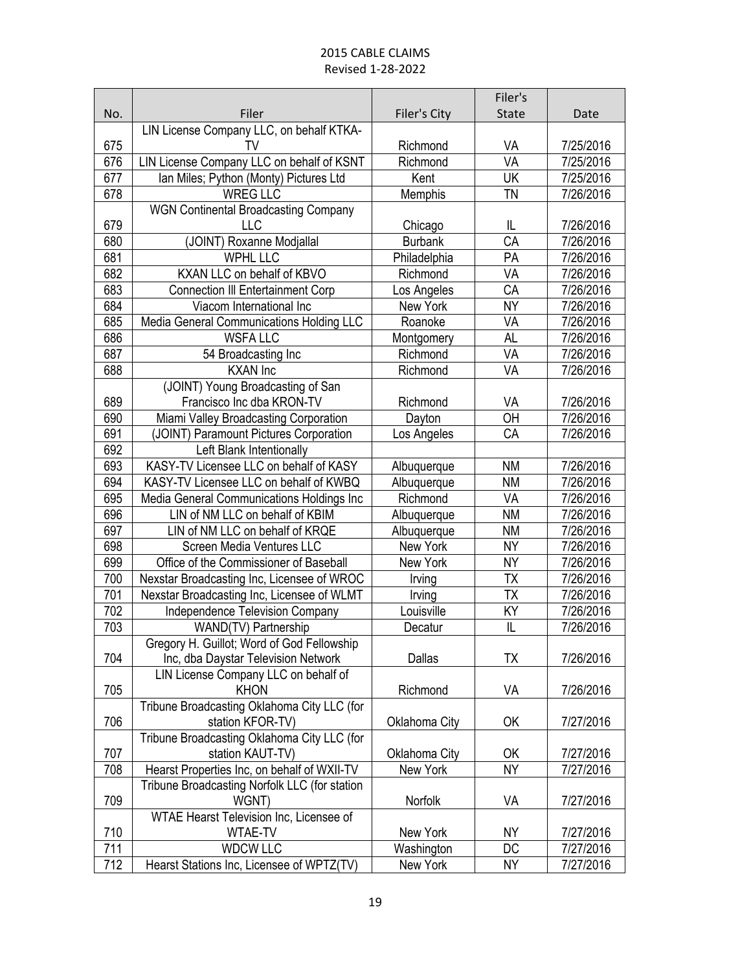|     |                                                    |                        | Filer's      |           |
|-----|----------------------------------------------------|------------------------|--------------|-----------|
| No. | Filer                                              | Filer's City           | <b>State</b> | Date      |
|     | LIN License Company LLC, on behalf KTKA-           |                        |              |           |
| 675 | TV                                                 | Richmond               | VA           | 7/25/2016 |
| 676 | LIN License Company LLC on behalf of KSNT          | Richmond               | VA           | 7/25/2016 |
| 677 | Ian Miles; Python (Monty) Pictures Ltd             | Kent                   | UK           | 7/25/2016 |
| 678 | <b>WREG LLC</b>                                    | Memphis                | TN           | 7/26/2016 |
|     | <b>WGN Continental Broadcasting Company</b>        |                        |              |           |
| 679 | <b>LLC</b>                                         | Chicago                | IL           | 7/26/2016 |
| 680 | (JOINT) Roxanne Modjallal                          | <b>Burbank</b>         | CA           | 7/26/2016 |
| 681 | <b>WPHL LLC</b>                                    | Philadelphia           | PA           | 7/26/2016 |
| 682 | KXAN LLC on behalf of KBVO                         | Richmond               | VA           | 7/26/2016 |
| 683 | <b>Connection III Entertainment Corp</b>           | Los Angeles            | CA           | 7/26/2016 |
| 684 | Viacom International Inc                           | New York               | <b>NY</b>    | 7/26/2016 |
| 685 | Media General Communications Holding LLC           | Roanoke                | VA           | 7/26/2016 |
| 686 | <b>WSFALLC</b>                                     | Montgomery             | <b>AL</b>    | 7/26/2016 |
| 687 | 54 Broadcasting Inc                                | Richmond               | VA           | 7/26/2016 |
| 688 | <b>KXAN</b> Inc                                    | Richmond               | VA           | 7/26/2016 |
|     | (JOINT) Young Broadcasting of San                  |                        |              |           |
| 689 | Francisco Inc dba KRON-TV                          | Richmond               | VA           | 7/26/2016 |
| 690 | Miami Valley Broadcasting Corporation              | Dayton                 | OH           | 7/26/2016 |
| 691 | (JOINT) Paramount Pictures Corporation             | Los Angeles            | CA           | 7/26/2016 |
| 692 | Left Blank Intentionally                           |                        |              |           |
| 693 | KASY-TV Licensee LLC on behalf of KASY             | Albuquerque            | <b>NM</b>    | 7/26/2016 |
| 694 | KASY-TV Licensee LLC on behalf of KWBQ             | Albuquerque            | <b>NM</b>    | 7/26/2016 |
| 695 | Media General Communications Holdings Inc          | Richmond               | VA           | 7/26/2016 |
| 696 | LIN of NM LLC on behalf of KBIM                    | Albuquerque            | <b>NM</b>    | 7/26/2016 |
| 697 | LIN of NM LLC on behalf of KRQE                    | Albuquerque            | <b>NM</b>    | 7/26/2016 |
| 698 | Screen Media Ventures LLC                          | New York               | <b>NY</b>    | 7/26/2016 |
| 699 | Office of the Commissioner of Baseball             | New York               | <b>NY</b>    | 7/26/2016 |
| 700 | Nexstar Broadcasting Inc, Licensee of WROC         | Irving                 | <b>ΤX</b>    | 7/26/2016 |
| 701 | Nexstar Broadcasting Inc, Licensee of WLMT         | Irving                 | TΧ           | 7/26/2016 |
| 702 | <b>Independence Television Company</b>             | Louisville             | ΚY           | 7/26/2016 |
| 703 | WAND(TV) Partnership                               | Decatur                | L            | 7/26/2016 |
|     | Gregory H. Guillot; Word of God Fellowship         |                        |              |           |
| 704 | Inc, dba Daystar Television Network                | Dallas                 | TX           | 7/26/2016 |
|     | LIN License Company LLC on behalf of               |                        |              |           |
| 705 | <b>KHON</b>                                        | Richmond               | VA           | 7/26/2016 |
|     | Tribune Broadcasting Oklahoma City LLC (for        |                        |              |           |
| 706 | station KFOR-TV)                                   | Oklahoma City          | OK           | 7/27/2016 |
|     | Tribune Broadcasting Oklahoma City LLC (for        |                        |              |           |
| 707 | station KAUT-TV)                                   | Oklahoma City          | OK           | 7/27/2016 |
| 708 | Hearst Properties Inc, on behalf of WXII-TV        | New York               | <b>NY</b>    | 7/27/2016 |
|     | Tribune Broadcasting Norfolk LLC (for station      |                        |              |           |
| 709 | WGNT)                                              | Norfolk                | VA           | 7/27/2016 |
| 710 | WTAE Hearst Television Inc, Licensee of<br>WTAE-TV | New York               | NΥ           | 7/27/2016 |
| 711 | <b>WDCW LLC</b>                                    |                        | DC           | 7/27/2016 |
| 712 | Hearst Stations Inc, Licensee of WPTZ(TV)          | Washington<br>New York | <b>NY</b>    | 7/27/2016 |
|     |                                                    |                        |              |           |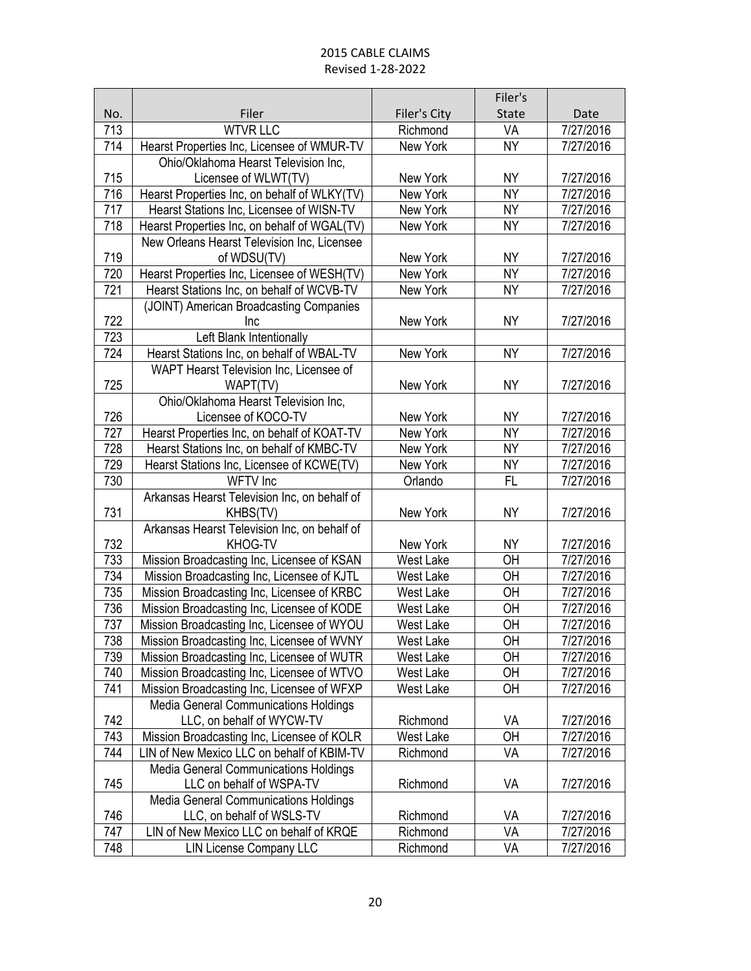|     |                                                          |              | Filer's        |           |
|-----|----------------------------------------------------------|--------------|----------------|-----------|
| No. | Filer                                                    | Filer's City | State          | Date      |
| 713 | <b>WTVR LLC</b>                                          | Richmond     | VA             | 7/27/2016 |
| 714 | Hearst Properties Inc, Licensee of WMUR-TV               | New York     | <b>NY</b>      | 7/27/2016 |
|     | Ohio/Oklahoma Hearst Television Inc,                     |              |                |           |
| 715 | Licensee of WLWT(TV)                                     | New York     | <b>NY</b>      | 7/27/2016 |
| 716 | Hearst Properties Inc, on behalf of WLKY(TV)             | New York     | <b>NY</b>      | 7/27/2016 |
| 717 | Hearst Stations Inc, Licensee of WISN-TV                 | New York     | <b>NY</b>      | 7/27/2016 |
| 718 | Hearst Properties Inc, on behalf of WGAL(TV)             | New York     | <b>NY</b>      | 7/27/2016 |
|     | New Orleans Hearst Television Inc, Licensee              |              |                |           |
| 719 | of WDSU(TV)                                              | New York     | <b>NY</b>      | 7/27/2016 |
| 720 | Hearst Properties Inc, Licensee of WESH(TV)              | New York     | <b>NY</b>      | 7/27/2016 |
| 721 | Hearst Stations Inc, on behalf of WCVB-TV                | New York     | <b>NY</b>      | 7/27/2016 |
|     | (JOINT) American Broadcasting Companies                  |              |                |           |
| 722 | Inc                                                      | New York     | <b>NY</b>      | 7/27/2016 |
| 723 | Left Blank Intentionally                                 |              |                |           |
| 724 | Hearst Stations Inc, on behalf of WBAL-TV                | New York     | <b>NY</b>      | 7/27/2016 |
|     | WAPT Hearst Television Inc, Licensee of                  |              |                |           |
| 725 | WAPT(TV)                                                 | New York     | <b>NY</b>      | 7/27/2016 |
|     | Ohio/Oklahoma Hearst Television Inc,                     |              |                |           |
| 726 | Licensee of KOCO-TV                                      | New York     | <b>NY</b>      | 7/27/2016 |
| 727 | Hearst Properties Inc, on behalf of KOAT-TV              | New York     | <b>NY</b>      | 7/27/2016 |
| 728 | Hearst Stations Inc, on behalf of KMBC-TV                | New York     | <b>NY</b>      | 7/27/2016 |
| 729 | Hearst Stations Inc, Licensee of KCWE(TV)                | New York     | NY <sub></sub> | 7/27/2016 |
| 730 | WFTV Inc                                                 | Orlando      | <b>FL</b>      | 7/27/2016 |
| 731 | Arkansas Hearst Television Inc, on behalf of<br>KHBS(TV) | New York     | <b>NY</b>      | 7/27/2016 |
|     | Arkansas Hearst Television Inc, on behalf of             |              |                |           |
| 732 | KHOG-TV                                                  | New York     | <b>NY</b>      | 7/27/2016 |
| 733 | Mission Broadcasting Inc, Licensee of KSAN               | West Lake    | OH             | 7/27/2016 |
| 734 | Mission Broadcasting Inc, Licensee of KJTL               | West Lake    | OH             | 7/27/2016 |
| 735 | Mission Broadcasting Inc, Licensee of KRBC               | West Lake    | OH             | 7/27/2016 |
| 736 | Mission Broadcasting Inc, Licensee of KODE               | West Lake    | OH             | 7/27/2016 |
| 737 | Mission Broadcasting Inc, Licensee of WYOU               | West Lake    | OH             | 7/27/2016 |
| 738 | Mission Broadcasting Inc, Licensee of WVNY               | West Lake    | OH             | 7/27/2016 |
| 739 | Mission Broadcasting Inc, Licensee of WUTR               | West Lake    | 0H             | 7/27/2016 |
| 740 | Mission Broadcasting Inc, Licensee of WTVO               | West Lake    | OH             | 7/27/2016 |
| 741 | Mission Broadcasting Inc, Licensee of WFXP               | West Lake    | OH             | 7/27/2016 |
|     | <b>Media General Communications Holdings</b>             |              |                |           |
| 742 | LLC, on behalf of WYCW-TV                                | Richmond     | VA             | 7/27/2016 |
| 743 | Mission Broadcasting Inc, Licensee of KOLR               | West Lake    | <b>OH</b>      | 7/27/2016 |
| 744 | LIN of New Mexico LLC on behalf of KBIM-TV               | Richmond     | VA             | 7/27/2016 |
|     | <b>Media General Communications Holdings</b>             |              |                |           |
| 745 | LLC on behalf of WSPA-TV                                 | Richmond     | VA             | 7/27/2016 |
|     | <b>Media General Communications Holdings</b>             |              |                |           |
| 746 | LLC, on behalf of WSLS-TV                                | Richmond     | VA             | 7/27/2016 |
| 747 | LIN of New Mexico LLC on behalf of KRQE                  | Richmond     | VA             | 7/27/2016 |
| 748 | <b>LIN License Company LLC</b>                           | Richmond     | VA             | 7/27/2016 |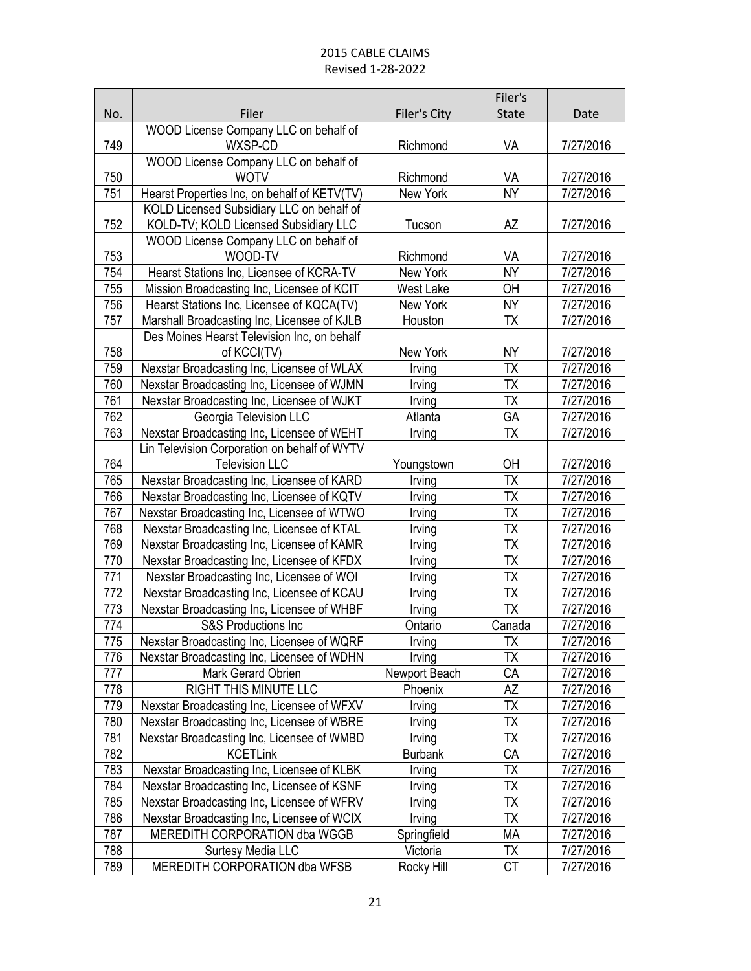|     |                                                  |                | Filer's                  |           |
|-----|--------------------------------------------------|----------------|--------------------------|-----------|
| No. | Filer                                            | Filer's City   | State                    | Date      |
| 749 | WOOD License Company LLC on behalf of<br>WXSP-CD | Richmond       | VA                       | 7/27/2016 |
|     | WOOD License Company LLC on behalf of            |                |                          |           |
| 750 | <b>WOTV</b>                                      | Richmond       | VA                       | 7/27/2016 |
| 751 | Hearst Properties Inc, on behalf of KETV(TV)     | New York       | <b>NY</b>                | 7/27/2016 |
|     | KOLD Licensed Subsidiary LLC on behalf of        |                |                          |           |
| 752 | KOLD-TV; KOLD Licensed Subsidiary LLC            | Tucson         | AZ                       | 7/27/2016 |
|     | WOOD License Company LLC on behalf of            |                |                          |           |
| 753 | WOOD-TV                                          | Richmond       | VA                       | 7/27/2016 |
| 754 | Hearst Stations Inc, Licensee of KCRA-TV         | New York       | <b>NY</b>                | 7/27/2016 |
| 755 | Mission Broadcasting Inc, Licensee of KCIT       | West Lake      | OH                       | 7/27/2016 |
| 756 | Hearst Stations Inc, Licensee of KQCA(TV)        | New York       | <b>NY</b>                | 7/27/2016 |
| 757 | Marshall Broadcasting Inc, Licensee of KJLB      | Houston        | <b>ΤΧ</b>                | 7/27/2016 |
|     | Des Moines Hearst Television Inc, on behalf      |                |                          |           |
| 758 | of KCCI(TV)                                      | New York       | NΥ                       | 7/27/2016 |
| 759 | Nexstar Broadcasting Inc, Licensee of WLAX       | Irving         | <b>ΤΧ</b>                | 7/27/2016 |
| 760 | Nexstar Broadcasting Inc, Licensee of WJMN       | Irving         | <b>ΤX</b>                | 7/27/2016 |
| 761 | Nexstar Broadcasting Inc, Licensee of WJKT       | Irving         | <b>ΤΧ</b>                | 7/27/2016 |
| 762 | Georgia Television LLC                           | Atlanta        | GA                       | 7/27/2016 |
| 763 | Nexstar Broadcasting Inc, Licensee of WEHT       | Irving         | <b>ΤΧ</b>                | 7/27/2016 |
|     | Lin Television Corporation on behalf of WYTV     |                |                          |           |
| 764 | <b>Television LLC</b>                            | Youngstown     | OH                       | 7/27/2016 |
| 765 | Nexstar Broadcasting Inc, Licensee of KARD       | Irving         | TX                       | 7/27/2016 |
| 766 | Nexstar Broadcasting Inc, Licensee of KQTV       | Irving         | <b>ΤΧ</b>                | 7/27/2016 |
| 767 | Nexstar Broadcasting Inc, Licensee of WTWO       | Irving         | <b>ΤX</b>                | 7/27/2016 |
| 768 | Nexstar Broadcasting Inc, Licensee of KTAL       | Irving         | <b>ΤΧ</b>                | 7/27/2016 |
| 769 | Nexstar Broadcasting Inc, Licensee of KAMR       | Irving         | $\overline{\mathsf{TX}}$ | 7/27/2016 |
| 770 | Nexstar Broadcasting Inc, Licensee of KFDX       | Irving         | <b>ΤΧ</b>                | 7/27/2016 |
| 771 | Nexstar Broadcasting Inc, Licensee of WOI        | Irving         | <b>ΤX</b>                | 7/27/2016 |
| 772 | Nexstar Broadcasting Inc, Licensee of KCAU       | Irving         | <b>ΤΧ</b>                | 7/27/2016 |
| 773 | Nexstar Broadcasting Inc, Licensee of WHBF       | Irving         | <b>ΤX</b>                | 7/27/2016 |
| 774 | S&S Productions Inc                              | Ontario        | Canada                   | 7/27/2016 |
| 775 | Nexstar Broadcasting Inc, Licensee of WQRF       | Irving         | $\overline{\mathsf{TX}}$ | 7/27/2016 |
| 776 | Nexstar Broadcasting Inc, Licensee of WDHN       | Irving         | ТX                       | 7/27/2016 |
| 777 | Mark Gerard Obrien                               | Newport Beach  | СA                       | 7/27/2016 |
| 778 | RIGHT THIS MINUTE LLC                            | Phoenix        | AΖ                       | 7/27/2016 |
| 779 | Nexstar Broadcasting Inc, Licensee of WFXV       | Irving         | ТX                       | 7/27/2016 |
| 780 | Nexstar Broadcasting Inc, Licensee of WBRE       | Irving         | ТX                       | 7/27/2016 |
| 781 | Nexstar Broadcasting Inc, Licensee of WMBD       | Irving         | ТX                       | 7/27/2016 |
| 782 | <b>KCETLink</b>                                  | <b>Burbank</b> | СA                       | 7/27/2016 |
| 783 | Nexstar Broadcasting Inc, Licensee of KLBK       | Irving         | ТX                       | 7/27/2016 |
| 784 | Nexstar Broadcasting Inc, Licensee of KSNF       | Irving         | ТX                       | 7/27/2016 |
| 785 | Nexstar Broadcasting Inc, Licensee of WFRV       | Irving         | <b>ΤX</b>                | 7/27/2016 |
| 786 | Nexstar Broadcasting Inc, Licensee of WCIX       | Irving         | TХ                       | 7/27/2016 |
| 787 | MEREDITH CORPORATION dba WGGB                    | Springfield    | MA                       | 7/27/2016 |
| 788 | Surtesy Media LLC                                | Victoria       | TX                       | 7/27/2016 |
| 789 | MEREDITH CORPORATION dba WFSB                    | Rocky Hill     | СT                       | 7/27/2016 |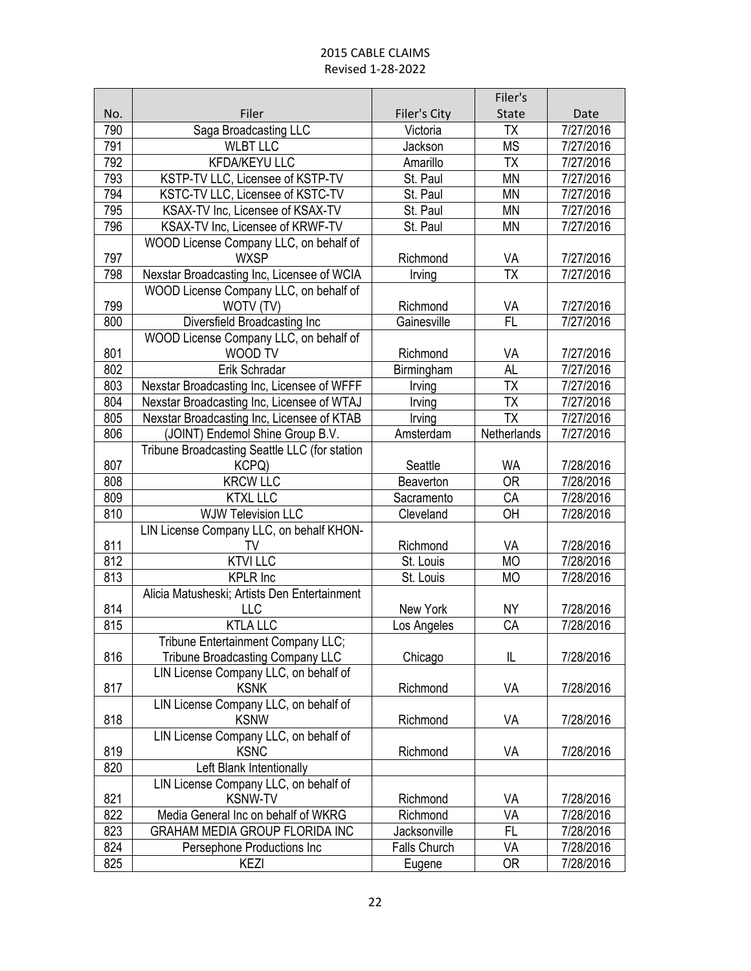|            |                                               |                      | Filer's         |                        |
|------------|-----------------------------------------------|----------------------|-----------------|------------------------|
| No.        | Filer                                         | Filer's City         | <b>State</b>    | Date                   |
| 790        | Saga Broadcasting LLC                         | Victoria             | TΧ              | 7/27/2016              |
| 791        | <b>WLBT LLC</b>                               | Jackson              | <b>MS</b>       | 7/27/2016              |
| 792        | <b>KFDA/KEYU LLC</b>                          | Amarillo             | <b>ΤΧ</b>       | 7/27/2016              |
| 793        | KSTP-TV LLC, Licensee of KSTP-TV              | St. Paul             | <b>MN</b>       | 7/27/2016              |
| 794        | KSTC-TV LLC, Licensee of KSTC-TV              | St. Paul             | <b>MN</b>       | 7/27/2016              |
| 795        | KSAX-TV Inc, Licensee of KSAX-TV              | St. Paul             | <b>MN</b>       | 7/27/2016              |
| 796        | KSAX-TV Inc, Licensee of KRWF-TV              | St. Paul             | <b>MN</b>       | 7/27/2016              |
|            | WOOD License Company LLC, on behalf of        |                      |                 |                        |
| 797        | <b>WXSP</b>                                   | Richmond             | VA              | 7/27/2016              |
| 798        | Nexstar Broadcasting Inc, Licensee of WCIA    | Irving               | TX              | 7/27/2016              |
|            | WOOD License Company LLC, on behalf of        |                      |                 |                        |
| 799        | WOTV (TV)                                     | Richmond             | VA              | 7/27/2016              |
| 800        | Diversfield Broadcasting Inc                  | Gainesville          | FL.             | 7/27/2016              |
|            | WOOD License Company LLC, on behalf of        |                      |                 |                        |
| 801        | WOOD TV                                       | Richmond             | VA              | 7/27/2016              |
| 802        | Erik Schradar                                 | Birmingham           | <b>AL</b>       | 7/27/2016              |
| 803        | Nexstar Broadcasting Inc, Licensee of WFFF    | Irving               | TΧ              | 7/27/2016              |
| 804        | Nexstar Broadcasting Inc, Licensee of WTAJ    | Irving               | <b>ΤΧ</b>       | 7/27/2016              |
| 805        | Nexstar Broadcasting Inc, Licensee of KTAB    | Irving               | $\overline{TX}$ | 7/27/2016              |
| 806        | (JOINT) Endemol Shine Group B.V.              | Amsterdam            | Netherlands     | 7/27/2016              |
|            | Tribune Broadcasting Seattle LLC (for station |                      | <b>WA</b>       |                        |
| 807<br>808 | KCPQ)<br><b>KRCW LLC</b>                      | Seattle<br>Beaverton | <b>OR</b>       | 7/28/2016<br>7/28/2016 |
| 809        | <b>KTXL LLC</b>                               | Sacramento           | CA              | 7/28/2016              |
| 810        | <b>WJW Television LLC</b>                     | Cleveland            | OH              | 7/28/2016              |
|            | LIN License Company LLC, on behalf KHON-      |                      |                 |                        |
| 811        | TV                                            | Richmond             | VA              | 7/28/2016              |
| 812        | <b>KTVI LLC</b>                               | St. Louis            | <b>MO</b>       | 7/28/2016              |
| 813        | <b>KPLR</b> Inc                               | St. Louis            | <b>MO</b>       | 7/28/2016              |
|            | Alicia Matusheski; Artists Den Entertainment  |                      |                 |                        |
| 814        | <b>LLC</b>                                    | New York             | <b>NY</b>       | 7/28/2016              |
| 815        | <b>KTLA LLC</b>                               | Los Angeles          | CA              | 7/28/2016              |
|            | Tribune Entertainment Company LLC;            |                      |                 |                        |
| 816        | <b>Tribune Broadcasting Company LLC</b>       | Chicago              | IL              | 7/28/2016              |
|            | LIN License Company LLC, on behalf of         |                      |                 |                        |
| 817        | <b>KSNK</b>                                   | Richmond             | VA              | 7/28/2016              |
|            | LIN License Company LLC, on behalf of         |                      |                 |                        |
| 818        | <b>KSNW</b>                                   | Richmond             | VA              | 7/28/2016              |
|            | LIN License Company LLC, on behalf of         |                      |                 |                        |
| 819        | <b>KSNC</b>                                   | Richmond             | VA              | 7/28/2016              |
| 820        | Left Blank Intentionally                      |                      |                 |                        |
|            | LIN License Company LLC, on behalf of         |                      |                 |                        |
| 821        | <b>KSNW-TV</b>                                | Richmond             | VA              | 7/28/2016              |
| 822        | Media General Inc on behalf of WKRG           | Richmond             | VA              | 7/28/2016              |
| 823        | GRAHAM MEDIA GROUP FLORIDA INC                | Jacksonville         | FL              | 7/28/2016              |
| 824        | Persephone Productions Inc                    | Falls Church         | VA              | 7/28/2016              |
| 825        | KEZI                                          | Eugene               | 0R              | 7/28/2016              |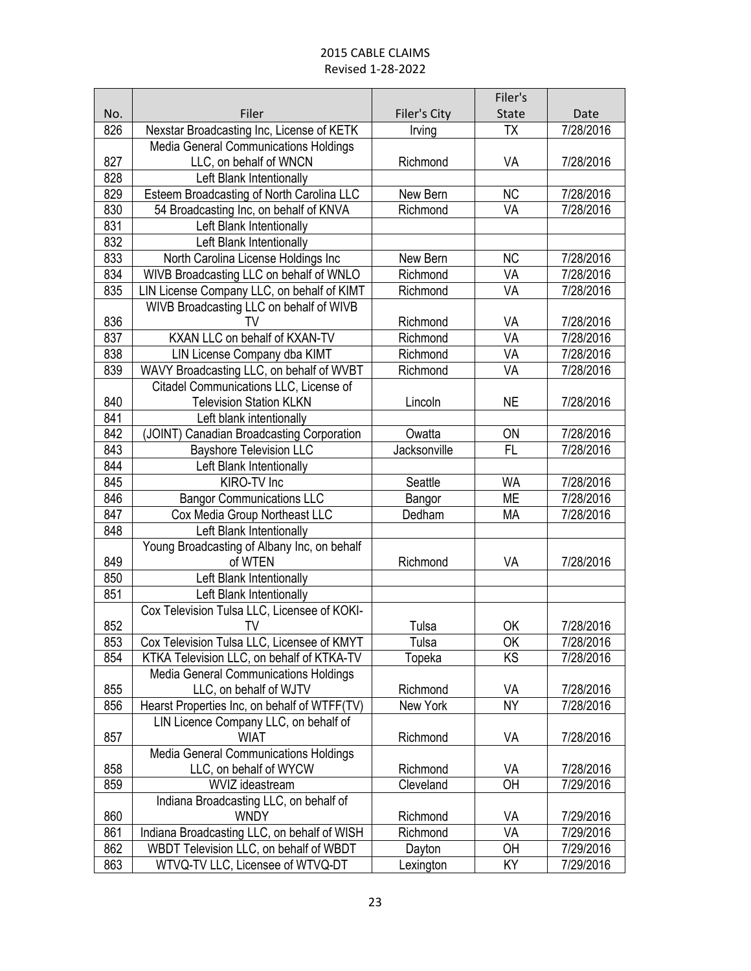|            |                                                 |                     | Filer's         |                        |
|------------|-------------------------------------------------|---------------------|-----------------|------------------------|
| No.        | Filer                                           | <b>Filer's City</b> | State           | Date                   |
| 826        | Nexstar Broadcasting Inc, License of KETK       | Irving              | <b>TX</b>       | 7/28/2016              |
|            | Media General Communications Holdings           |                     |                 |                        |
| 827        | LLC, on behalf of WNCN                          | Richmond            | VA              | 7/28/2016              |
| 828        | Left Blank Intentionally                        |                     |                 |                        |
| 829        | Esteem Broadcasting of North Carolina LLC       | New Bern            | NC              | 7/28/2016              |
| 830        | 54 Broadcasting Inc, on behalf of KNVA          | Richmond            | VA              | 7/28/2016              |
| 831        | Left Blank Intentionally                        |                     |                 |                        |
| 832        | Left Blank Intentionally                        |                     |                 |                        |
| 833        | North Carolina License Holdings Inc             | New Bern            | <b>NC</b>       | 7/28/2016              |
| 834        | WIVB Broadcasting LLC on behalf of WNLO         | Richmond            | VA              | 7/28/2016              |
| 835        | LIN License Company LLC, on behalf of KIMT      | Richmond            | VA              | 7/28/2016              |
|            | WIVB Broadcasting LLC on behalf of WIVB         |                     |                 |                        |
| 836        | TV                                              | Richmond            | VA              | 7/28/2016              |
| 837        | KXAN LLC on behalf of KXAN-TV                   | Richmond            | VA              | 7/28/2016              |
| 838        | LIN License Company dba KIMT                    | Richmond            | VA              | 7/28/2016              |
| 839        | WAVY Broadcasting LLC, on behalf of WVBT        | Richmond            | VA              | 7/28/2016              |
|            | Citadel Communications LLC, License of          |                     |                 |                        |
| 840        | <b>Television Station KLKN</b>                  | Lincoln             | <b>NE</b>       | 7/28/2016              |
| 841        | Left blank intentionally                        |                     |                 |                        |
| 842        | (JOINT) Canadian Broadcasting Corporation       | Owatta              | ON<br><b>FL</b> | 7/28/2016              |
| 843        | <b>Bayshore Television LLC</b>                  | Jacksonville        |                 | 7/28/2016              |
| 844        | Left Blank Intentionally                        |                     |                 |                        |
| 845<br>846 | KIRO-TV Inc<br><b>Bangor Communications LLC</b> | Seattle             | <b>WA</b><br>ME | 7/28/2016<br>7/28/2016 |
| 847        | Cox Media Group Northeast LLC                   | Bangor<br>Dedham    | <b>MA</b>       | 7/28/2016              |
| 848        | Left Blank Intentionally                        |                     |                 |                        |
|            | Young Broadcasting of Albany Inc, on behalf     |                     |                 |                        |
| 849        | of WTEN                                         | Richmond            | VA              | 7/28/2016              |
| 850        | Left Blank Intentionally                        |                     |                 |                        |
| 851        | Left Blank Intentionally                        |                     |                 |                        |
|            | Cox Television Tulsa LLC, Licensee of KOKI-     |                     |                 |                        |
| 852        | TV                                              | Tulsa               | ОK              | 7/28/2016              |
| 853        | Cox Television Tulsa LLC, Licensee of KMYT      | Tulsa               | 0K              | 7/28/2016              |
| 854        | KTKA Television LLC, on behalf of KTKA-TV       | Topeka              | KS              | 7/28/2016              |
|            | Media General Communications Holdings           |                     |                 |                        |
| 855        | LLC, on behalf of WJTV                          | Richmond            | VA              | 7/28/2016              |
| 856        | Hearst Properties Inc, on behalf of WTFF(TV)    | New York            | <b>NY</b>       | 7/28/2016              |
|            | LIN Licence Company LLC, on behalf of           |                     |                 |                        |
| 857        | <b>WIAT</b>                                     | Richmond            | VA              | 7/28/2016              |
|            | Media General Communications Holdings           |                     |                 |                        |
| 858        | LLC, on behalf of WYCW                          | Richmond            | VA              | 7/28/2016              |
| 859        | WVIZ ideastream                                 | Cleveland           | OH              | 7/29/2016              |
|            | Indiana Broadcasting LLC, on behalf of          |                     |                 |                        |
| 860        | <b>WNDY</b>                                     | Richmond            | VA              | 7/29/2016              |
| 861        | Indiana Broadcasting LLC, on behalf of WISH     | Richmond            | VA              | 7/29/2016              |
| 862        | WBDT Television LLC, on behalf of WBDT          | Dayton              | OH              | 7/29/2016              |
| 863        | WTVQ-TV LLC, Licensee of WTVQ-DT                | Lexington           | KY              | 7/29/2016              |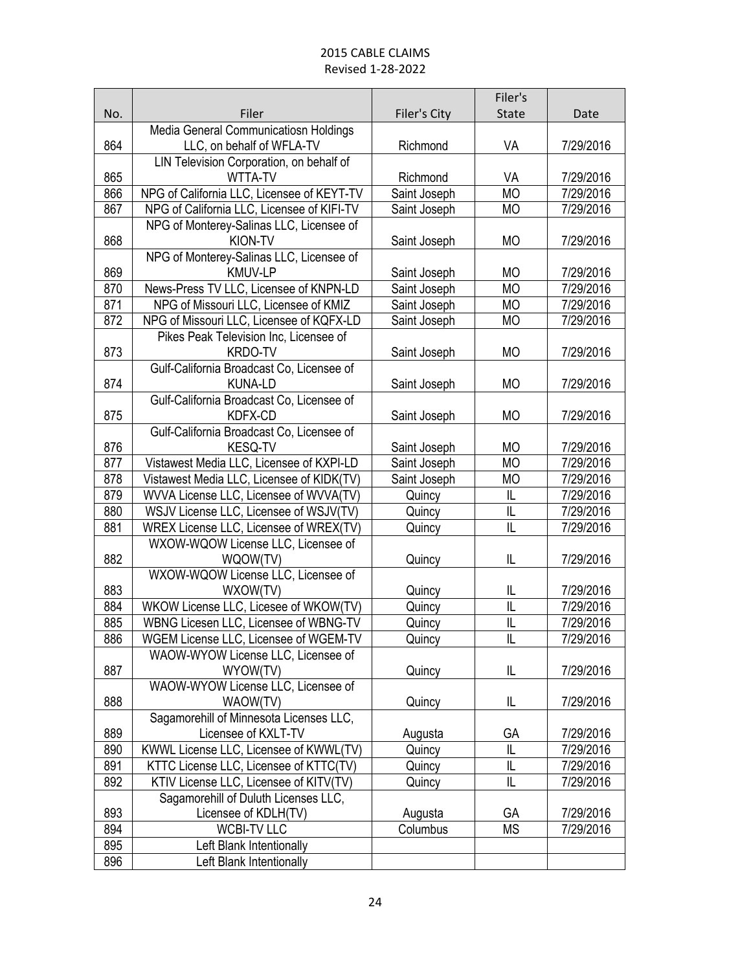|     |                                                      |              | Filer's                 |           |
|-----|------------------------------------------------------|--------------|-------------------------|-----------|
| No. | Filer                                                | Filer's City | <b>State</b>            | Date      |
|     | Media General Communicatiosn Holdings                |              |                         |           |
| 864 | LLC, on behalf of WFLA-TV                            | Richmond     | VA                      | 7/29/2016 |
|     | LIN Television Corporation, on behalf of             |              |                         |           |
| 865 | <b>WTTA-TV</b>                                       | Richmond     | VA                      | 7/29/2016 |
| 866 | NPG of California LLC, Licensee of KEYT-TV           | Saint Joseph | <b>MO</b>               | 7/29/2016 |
| 867 | NPG of California LLC, Licensee of KIFI-TV           | Saint Joseph | <b>MO</b>               | 7/29/2016 |
|     | NPG of Monterey-Salinas LLC, Licensee of             |              |                         |           |
| 868 | KION-TV                                              | Saint Joseph | <b>MO</b>               | 7/29/2016 |
|     | NPG of Monterey-Salinas LLC, Licensee of             |              |                         |           |
| 869 | <b>KMUV-LP</b>                                       | Saint Joseph | <b>MO</b>               | 7/29/2016 |
| 870 | News-Press TV LLC, Licensee of KNPN-LD               | Saint Joseph | <b>MO</b>               | 7/29/2016 |
| 871 | NPG of Missouri LLC, Licensee of KMIZ                | Saint Joseph | <b>MO</b>               | 7/29/2016 |
| 872 | NPG of Missouri LLC, Licensee of KQFX-LD             | Saint Joseph | <b>MO</b>               | 7/29/2016 |
|     | Pikes Peak Television Inc, Licensee of               |              |                         |           |
| 873 | <b>KRDO-TV</b>                                       | Saint Joseph | <b>MO</b>               | 7/29/2016 |
|     | Gulf-California Broadcast Co, Licensee of            |              |                         |           |
| 874 | <b>KUNA-LD</b>                                       | Saint Joseph | <b>MO</b>               | 7/29/2016 |
| 875 | Gulf-California Broadcast Co, Licensee of<br>KDFX-CD |              | <b>MO</b>               | 7/29/2016 |
|     | Gulf-California Broadcast Co, Licensee of            | Saint Joseph |                         |           |
| 876 | <b>KESQ-TV</b>                                       | Saint Joseph | <b>MO</b>               | 7/29/2016 |
| 877 | Vistawest Media LLC, Licensee of KXPI-LD             | Saint Joseph | <b>MO</b>               | 7/29/2016 |
| 878 | Vistawest Media LLC, Licensee of KIDK(TV)            | Saint Joseph | MO                      | 7/29/2016 |
| 879 | WVVA License LLC, Licensee of WVVA(TV)               | Quincy       | IL                      | 7/29/2016 |
| 880 | WSJV License LLC, Licensee of WSJV(TV)               | Quincy       | L                       | 7/29/2016 |
| 881 | WREX License LLC, Licensee of WREX(TV)               | Quincy       | IL                      | 7/29/2016 |
|     | WXOW-WQOW License LLC, Licensee of                   |              |                         |           |
| 882 | WQOW(TV)                                             | Quincy       | L                       | 7/29/2016 |
|     | WXOW-WQOW License LLC, Licensee of                   |              |                         |           |
| 883 | WXOW(TV)                                             | Quincy       | IL                      | 7/29/2016 |
| 884 | WKOW License LLC, Licesee of WKOW(TV)                | Quincy       | $\overline{\mathsf{I}}$ | 7/29/2016 |
| 885 | WBNG Licesen LLC, Licensee of WBNG-TV                | Quincy       | IL                      | 7/29/2016 |
| 886 | WGEM License LLC, Licensee of WGEM-TV                | Quincy       | $\overline{\mathsf{L}}$ | 7/29/2016 |
|     | WAOW-WYOW License LLC, Licensee of                   |              |                         |           |
| 887 | WYOW(TV)                                             | Quincy       | IL                      | 7/29/2016 |
|     | WAOW-WYOW License LLC, Licensee of                   |              |                         |           |
| 888 | WAOW(TV)                                             | Quincy       | IL                      | 7/29/2016 |
|     | Sagamorehill of Minnesota Licenses LLC,              |              |                         |           |
| 889 | Licensee of KXLT-TV                                  | Augusta      | GA                      | 7/29/2016 |
| 890 | KWWL License LLC, Licensee of KWWL(TV)               | Quincy       | IL                      | 7/29/2016 |
| 891 | KTTC License LLC, Licensee of KTTC(TV)               | Quincy       | IL                      | 7/29/2016 |
| 892 | KTIV License LLC, Licensee of KITV(TV)               | Quincy       | L                       | 7/29/2016 |
|     | Sagamorehill of Duluth Licenses LLC,                 |              |                         |           |
| 893 | Licensee of KDLH(TV)                                 | Augusta      | GA                      | 7/29/2016 |
| 894 | <b>WCBI-TV LLC</b>                                   | Columbus     | <b>MS</b>               | 7/29/2016 |
| 895 | Left Blank Intentionally                             |              |                         |           |
| 896 | Left Blank Intentionally                             |              |                         |           |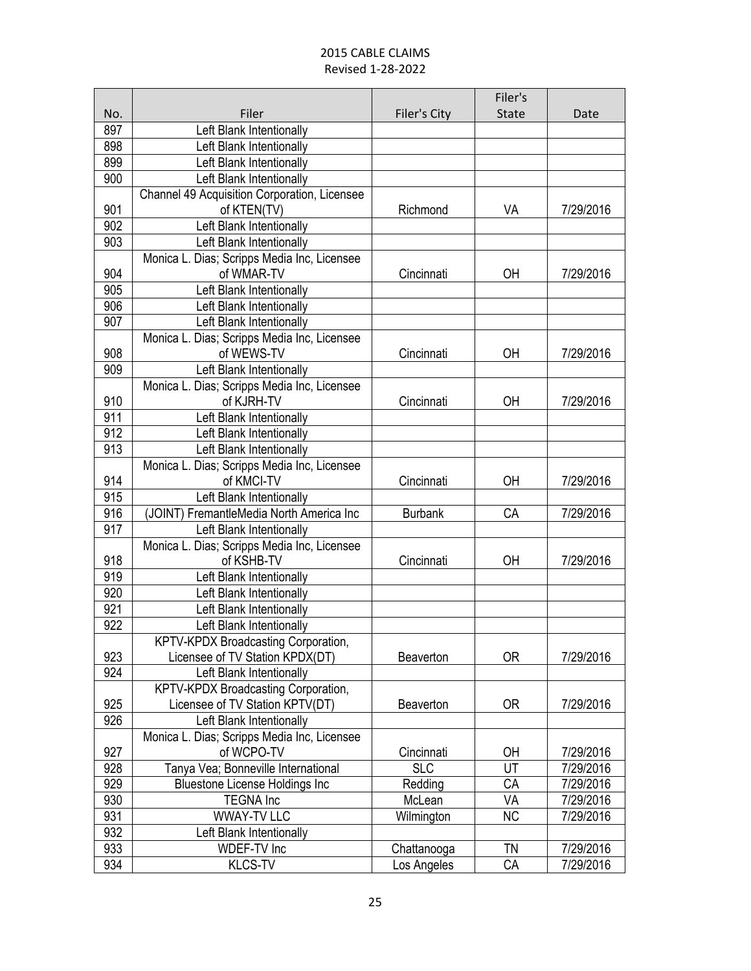|     |                                              |                | Filer's      |           |
|-----|----------------------------------------------|----------------|--------------|-----------|
| No. | Filer                                        | Filer's City   | <b>State</b> | Date      |
| 897 | Left Blank Intentionally                     |                |              |           |
| 898 | Left Blank Intentionally                     |                |              |           |
| 899 | Left Blank Intentionally                     |                |              |           |
| 900 | Left Blank Intentionally                     |                |              |           |
|     | Channel 49 Acquisition Corporation, Licensee |                |              |           |
| 901 | of KTEN(TV)                                  | Richmond       | VA           | 7/29/2016 |
| 902 | Left Blank Intentionally                     |                |              |           |
| 903 | Left Blank Intentionally                     |                |              |           |
|     | Monica L. Dias; Scripps Media Inc, Licensee  |                |              |           |
| 904 | of WMAR-TV                                   | Cincinnati     | OH           | 7/29/2016 |
| 905 | Left Blank Intentionally                     |                |              |           |
| 906 | Left Blank Intentionally                     |                |              |           |
| 907 | Left Blank Intentionally                     |                |              |           |
|     | Monica L. Dias; Scripps Media Inc, Licensee  |                |              |           |
| 908 | of WEWS-TV                                   | Cincinnati     | ОH           | 7/29/2016 |
| 909 | Left Blank Intentionally                     |                |              |           |
|     | Monica L. Dias; Scripps Media Inc, Licensee  |                |              |           |
| 910 | of KJRH-TV                                   | Cincinnati     | OH           | 7/29/2016 |
| 911 | Left Blank Intentionally                     |                |              |           |
| 912 | Left Blank Intentionally                     |                |              |           |
| 913 | Left Blank Intentionally                     |                |              |           |
|     | Monica L. Dias; Scripps Media Inc, Licensee  |                |              |           |
| 914 | of KMCI-TV                                   | Cincinnati     | OH           | 7/29/2016 |
| 915 | Left Blank Intentionally                     |                |              |           |
| 916 | (JOINT) FremantleMedia North America Inc     | <b>Burbank</b> | CA           | 7/29/2016 |
| 917 | Left Blank Intentionally                     |                |              |           |
|     | Monica L. Dias; Scripps Media Inc, Licensee  |                |              |           |
| 918 | of KSHB-TV                                   | Cincinnati     | OH           | 7/29/2016 |
| 919 | Left Blank Intentionally                     |                |              |           |
| 920 | Left Blank Intentionally                     |                |              |           |
| 921 | Left Blank Intentionally                     |                |              |           |
| 922 | Left Blank Intentionally                     |                |              |           |
|     | KPTV-KPDX Broadcasting Corporation,          |                |              |           |
| 923 | Licensee of TV Station KPDX(DT)              | Beaverton      | <b>OR</b>    | 7/29/2016 |
| 924 | Left Blank Intentionally                     |                |              |           |
|     | KPTV-KPDX Broadcasting Corporation,          |                |              |           |
| 925 | Licensee of TV Station KPTV(DT)              | Beaverton      | 0R           | 7/29/2016 |
| 926 | Left Blank Intentionally                     |                |              |           |
|     | Monica L. Dias; Scripps Media Inc, Licensee  |                |              |           |
| 927 | of WCPO-TV                                   | Cincinnati     | OH           | 7/29/2016 |
| 928 | Tanya Vea; Bonneville International          | <b>SLC</b>     | UT           | 7/29/2016 |
| 929 | <b>Bluestone License Holdings Inc</b>        | Redding        | СA           | 7/29/2016 |
| 930 | <b>TEGNA Inc</b>                             | McLean         | VA           | 7/29/2016 |
| 931 | <b>WWAY-TV LLC</b>                           | Wilmington     | <b>NC</b>    | 7/29/2016 |
| 932 | Left Blank Intentionally                     |                |              |           |
| 933 | <b>WDEF-TV Inc</b>                           | Chattanooga    | TN           | 7/29/2016 |
| 934 | <b>KLCS-TV</b>                               | Los Angeles    | CA           | 7/29/2016 |
|     |                                              |                |              |           |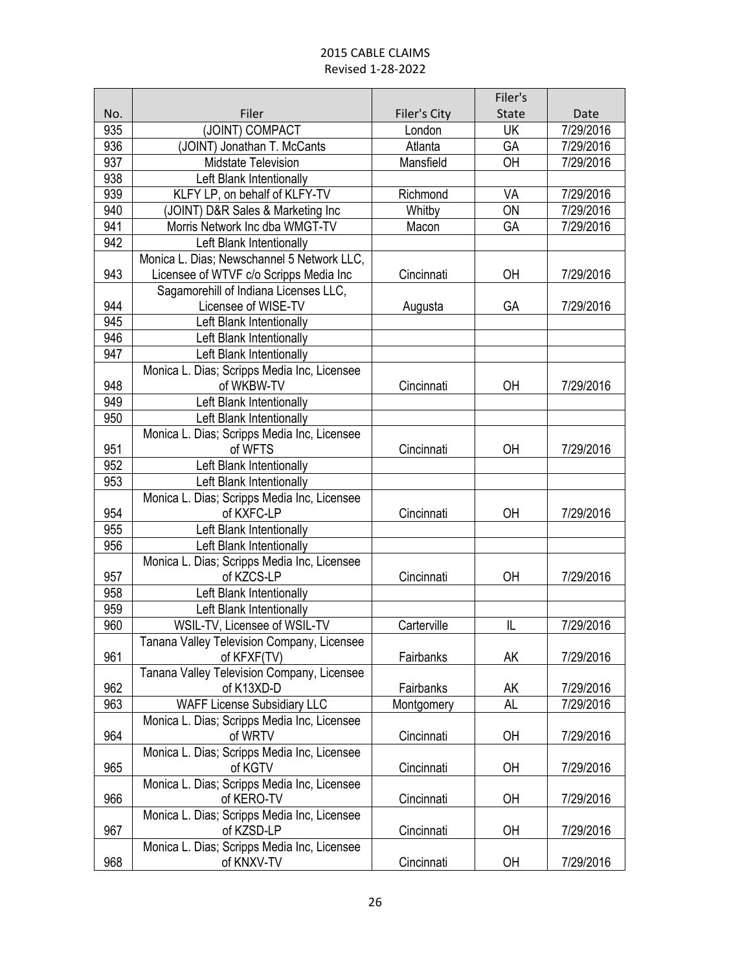|     |                                                        |              | Filer's      |           |
|-----|--------------------------------------------------------|--------------|--------------|-----------|
| No. | Filer                                                  | Filer's City | <b>State</b> | Date      |
| 935 | (JOINT) COMPACT                                        | London       | <b>UK</b>    | 7/29/2016 |
| 936 | (JOINT) Jonathan T. McCants                            | Atlanta      | GA           | 7/29/2016 |
| 937 | <b>Midstate Television</b>                             | Mansfield    | OH           | 7/29/2016 |
| 938 | Left Blank Intentionally                               |              |              |           |
| 939 | KLFY LP, on behalf of KLFY-TV                          | Richmond     | VA           | 7/29/2016 |
| 940 | (JOINT) D&R Sales & Marketing Inc                      | Whitby       | ON           | 7/29/2016 |
| 941 | Morris Network Inc dba WMGT-TV                         | Macon        | GA           | 7/29/2016 |
| 942 | Left Blank Intentionally                               |              |              |           |
|     | Monica L. Dias; Newschannel 5 Network LLC,             |              |              |           |
| 943 | Licensee of WTVF c/o Scripps Media Inc                 | Cincinnati   | ОH           | 7/29/2016 |
|     | Sagamorehill of Indiana Licenses LLC,                  |              |              |           |
| 944 | Licensee of WISE-TV                                    | Augusta      | GA           | 7/29/2016 |
| 945 | Left Blank Intentionally                               |              |              |           |
| 946 | Left Blank Intentionally                               |              |              |           |
| 947 | Left Blank Intentionally                               |              |              |           |
|     | Monica L. Dias; Scripps Media Inc, Licensee            |              |              |           |
| 948 | of WKBW-TV                                             | Cincinnati   | ΟH           | 7/29/2016 |
| 949 | Left Blank Intentionally                               |              |              |           |
| 950 | Left Blank Intentionally                               |              |              |           |
| 951 | Monica L. Dias; Scripps Media Inc, Licensee<br>of WFTS |              |              |           |
| 952 |                                                        | Cincinnati   | OH           | 7/29/2016 |
| 953 | Left Blank Intentionally<br>Left Blank Intentionally   |              |              |           |
|     | Monica L. Dias; Scripps Media Inc, Licensee            |              |              |           |
| 954 | of KXFC-LP                                             | Cincinnati   | OH           | 7/29/2016 |
| 955 | Left Blank Intentionally                               |              |              |           |
| 956 | Left Blank Intentionally                               |              |              |           |
|     | Monica L. Dias; Scripps Media Inc, Licensee            |              |              |           |
| 957 | of KZCS-LP                                             | Cincinnati   | ΟH           | 7/29/2016 |
| 958 | Left Blank Intentionally                               |              |              |           |
| 959 | Left Blank Intentionally                               |              |              |           |
| 960 | WSIL-TV, Licensee of WSIL-TV                           | Carterville  | IL           | 7/29/2016 |
|     | Tanana Valley Television Company, Licensee             |              |              |           |
| 961 | of KFXF(TV)                                            | Fairbanks    | AK           | 7/29/2016 |
|     | Tanana Valley Television Company, Licensee             |              |              |           |
| 962 | of K13XD-D                                             | Fairbanks    | AK           | 7/29/2016 |
| 963 | <b>WAFF License Subsidiary LLC</b>                     | Montgomery   | <b>AL</b>    | 7/29/2016 |
|     | Monica L. Dias; Scripps Media Inc, Licensee            |              |              |           |
| 964 | of WRTV                                                | Cincinnati   | OH           | 7/29/2016 |
|     | Monica L. Dias; Scripps Media Inc, Licensee            |              |              |           |
| 965 | of KGTV                                                | Cincinnati   | OH           | 7/29/2016 |
|     | Monica L. Dias; Scripps Media Inc, Licensee            |              |              |           |
| 966 | of KERO-TV                                             | Cincinnati   | OH           | 7/29/2016 |
|     | Monica L. Dias; Scripps Media Inc, Licensee            |              |              |           |
| 967 | of KZSD-LP                                             | Cincinnati   | OH           | 7/29/2016 |
|     | Monica L. Dias; Scripps Media Inc, Licensee            |              |              |           |
| 968 | of KNXV-TV                                             | Cincinnati   | ОH           | 7/29/2016 |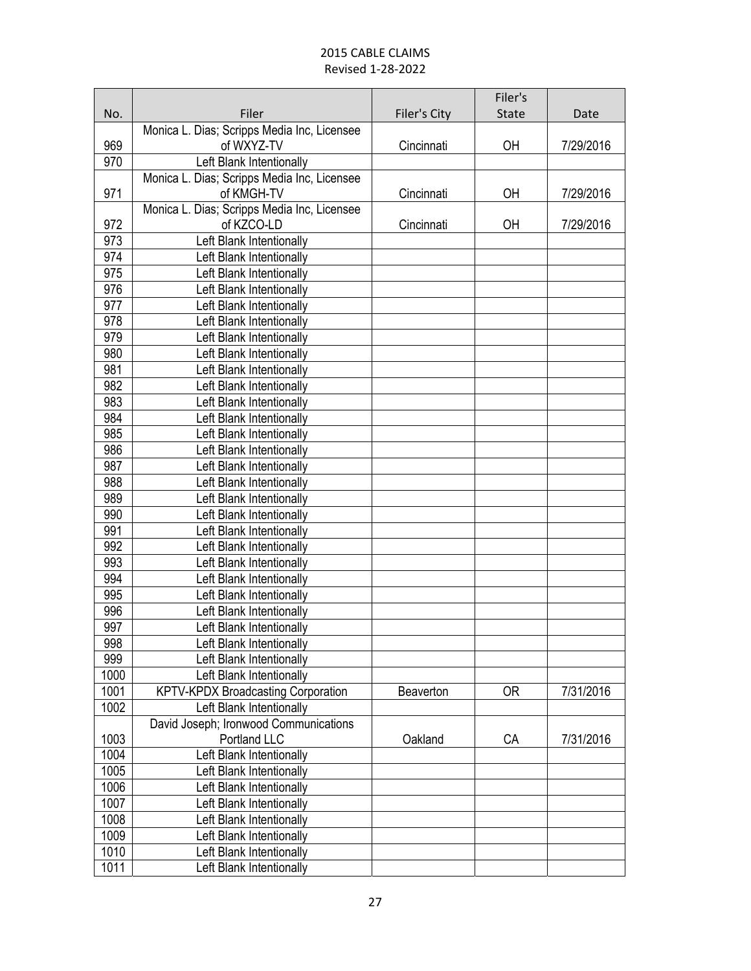|            |                                                      |                  | Filer's      |           |
|------------|------------------------------------------------------|------------------|--------------|-----------|
| No.        | Filer                                                | Filer's City     | <b>State</b> | Date      |
|            | Monica L. Dias; Scripps Media Inc, Licensee          |                  |              |           |
| 969        | of WXYZ-TV                                           | Cincinnati       | OH           | 7/29/2016 |
| 970        | Left Blank Intentionally                             |                  |              |           |
|            | Monica L. Dias; Scripps Media Inc, Licensee          |                  |              |           |
| 971        | of KMGH-TV                                           | Cincinnati       | OH           | 7/29/2016 |
|            | Monica L. Dias; Scripps Media Inc, Licensee          |                  |              |           |
| 972        | of KZCO-LD                                           | Cincinnati       | OH           | 7/29/2016 |
| 973        | Left Blank Intentionally                             |                  |              |           |
| 974        | Left Blank Intentionally                             |                  |              |           |
| 975        | Left Blank Intentionally                             |                  |              |           |
| 976        | Left Blank Intentionally                             |                  |              |           |
| 977        | Left Blank Intentionally                             |                  |              |           |
| 978        | Left Blank Intentionally                             |                  |              |           |
| 979        | Left Blank Intentionally                             |                  |              |           |
| 980        | Left Blank Intentionally                             |                  |              |           |
| 981        | Left Blank Intentionally                             |                  |              |           |
| 982        | Left Blank Intentionally                             |                  |              |           |
| 983        | Left Blank Intentionally                             |                  |              |           |
| 984        | Left Blank Intentionally                             |                  |              |           |
| 985<br>986 | Left Blank Intentionally                             |                  |              |           |
| 987        | Left Blank Intentionally                             |                  |              |           |
| 988        | Left Blank Intentionally<br>Left Blank Intentionally |                  |              |           |
| 989        | Left Blank Intentionally                             |                  |              |           |
| 990        | Left Blank Intentionally                             |                  |              |           |
| 991        | Left Blank Intentionally                             |                  |              |           |
| 992        | Left Blank Intentionally                             |                  |              |           |
| 993        | Left Blank Intentionally                             |                  |              |           |
| 994        | Left Blank Intentionally                             |                  |              |           |
| 995        | Left Blank Intentionally                             |                  |              |           |
| 996        | Left Blank Intentionally                             |                  |              |           |
| 997        | Left Blank Intentionally                             |                  |              |           |
| 998        | Left Blank Intentionally                             |                  |              |           |
| 999        | Left Blank Intentionally                             |                  |              |           |
| 1000       | Left Blank Intentionally                             |                  |              |           |
| 1001       | <b>KPTV-KPDX Broadcasting Corporation</b>            | <b>Beaverton</b> | 0R           | 7/31/2016 |
| 1002       | Left Blank Intentionally                             |                  |              |           |
|            | David Joseph; Ironwood Communications                |                  |              |           |
| 1003       | Portland LLC                                         | Oakland          | CA           | 7/31/2016 |
| 1004       | Left Blank Intentionally                             |                  |              |           |
| 1005       | Left Blank Intentionally                             |                  |              |           |
| 1006       | Left Blank Intentionally                             |                  |              |           |
| 1007       | Left Blank Intentionally                             |                  |              |           |
| 1008       | Left Blank Intentionally                             |                  |              |           |
| 1009       | Left Blank Intentionally                             |                  |              |           |
| 1010       | Left Blank Intentionally                             |                  |              |           |
| 1011       | Left Blank Intentionally                             |                  |              |           |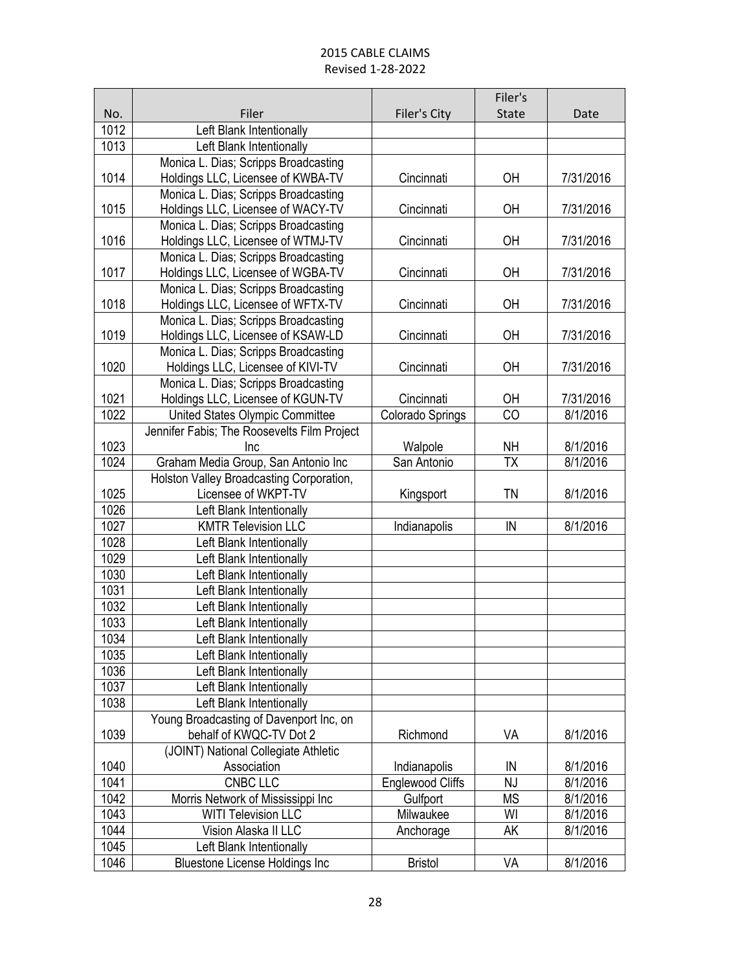|      |                                                                                |                         | Filer's      |           |
|------|--------------------------------------------------------------------------------|-------------------------|--------------|-----------|
| No.  | Filer                                                                          | Filer's City            | <b>State</b> | Date      |
| 1012 | Left Blank Intentionally                                                       |                         |              |           |
| 1013 | Left Blank Intentionally                                                       |                         |              |           |
|      | Monica L. Dias; Scripps Broadcasting                                           |                         |              |           |
| 1014 | Holdings LLC, Licensee of KWBA-TV                                              | Cincinnati              | OH           | 7/31/2016 |
|      | Monica L. Dias; Scripps Broadcasting                                           |                         |              |           |
| 1015 | Holdings LLC, Licensee of WACY-TV                                              | Cincinnati              | OH           | 7/31/2016 |
|      | Monica L. Dias; Scripps Broadcasting                                           |                         |              |           |
| 1016 | Holdings LLC, Licensee of WTMJ-TV                                              | Cincinnati              | OH           | 7/31/2016 |
|      | Monica L. Dias; Scripps Broadcasting                                           |                         |              |           |
| 1017 | Holdings LLC, Licensee of WGBA-TV                                              | Cincinnati              | OH           | 7/31/2016 |
|      | Monica L. Dias; Scripps Broadcasting                                           |                         |              |           |
| 1018 | Holdings LLC, Licensee of WFTX-TV                                              | Cincinnati              | OH           | 7/31/2016 |
|      | Monica L. Dias; Scripps Broadcasting                                           |                         |              |           |
| 1019 | Holdings LLC, Licensee of KSAW-LD                                              | Cincinnati              | OH           | 7/31/2016 |
|      | Monica L. Dias; Scripps Broadcasting                                           |                         |              |           |
| 1020 | Holdings LLC, Licensee of KIVI-TV                                              | Cincinnati              | OH           | 7/31/2016 |
| 1021 | Monica L. Dias; Scripps Broadcasting                                           | Cincinnati              |              | 7/31/2016 |
| 1022 | Holdings LLC, Licensee of KGUN-TV                                              |                         | ОH<br>CO     | 8/1/2016  |
|      | United States Olympic Committee<br>Jennifer Fabis; The Roosevelts Film Project | Colorado Springs        |              |           |
| 1023 | Inc                                                                            | Walpole                 | <b>NH</b>    | 8/1/2016  |
| 1024 | Graham Media Group, San Antonio Inc                                            | San Antonio             | <b>TX</b>    | 8/1/2016  |
|      | Holston Valley Broadcasting Corporation,                                       |                         |              |           |
| 1025 | Licensee of WKPT-TV                                                            | Kingsport               | TN           | 8/1/2016  |
| 1026 | Left Blank Intentionally                                                       |                         |              |           |
| 1027 | <b>KMTR Television LLC</b>                                                     | Indianapolis            | IN           | 8/1/2016  |
| 1028 | Left Blank Intentionally                                                       |                         |              |           |
| 1029 | Left Blank Intentionally                                                       |                         |              |           |
| 1030 | Left Blank Intentionally                                                       |                         |              |           |
| 1031 | Left Blank Intentionally                                                       |                         |              |           |
| 1032 | Left Blank Intentionally                                                       |                         |              |           |
| 1033 | Left Blank Intentionally                                                       |                         |              |           |
| 1034 | Left Blank Intentionally                                                       |                         |              |           |
| 1035 | Left Blank Intentionally                                                       |                         |              |           |
| 1036 | Left Blank Intentionally                                                       |                         |              |           |
| 1037 | Left Blank Intentionally                                                       |                         |              |           |
| 1038 | Left Blank Intentionally                                                       |                         |              |           |
|      | Young Broadcasting of Davenport Inc, on                                        |                         |              |           |
| 1039 | behalf of KWQC-TV Dot 2                                                        | Richmond                | VA           | 8/1/2016  |
|      | (JOINT) National Collegiate Athletic                                           |                         |              |           |
| 1040 | Association                                                                    | Indianapolis            | IN           | 8/1/2016  |
| 1041 | <b>CNBC LLC</b>                                                                | <b>Englewood Cliffs</b> | NJ           | 8/1/2016  |
| 1042 | Morris Network of Mississippi Inc                                              | Gulfport                | <b>MS</b>    | 8/1/2016  |
| 1043 | <b>WITI Television LLC</b>                                                     | Milwaukee               | WI           | 8/1/2016  |
| 1044 | Vision Alaska II LLC                                                           | Anchorage               | AΚ           | 8/1/2016  |
| 1045 | Left Blank Intentionally                                                       |                         |              |           |
| 1046 | <b>Bluestone License Holdings Inc</b>                                          | <b>Bristol</b>          | VA           | 8/1/2016  |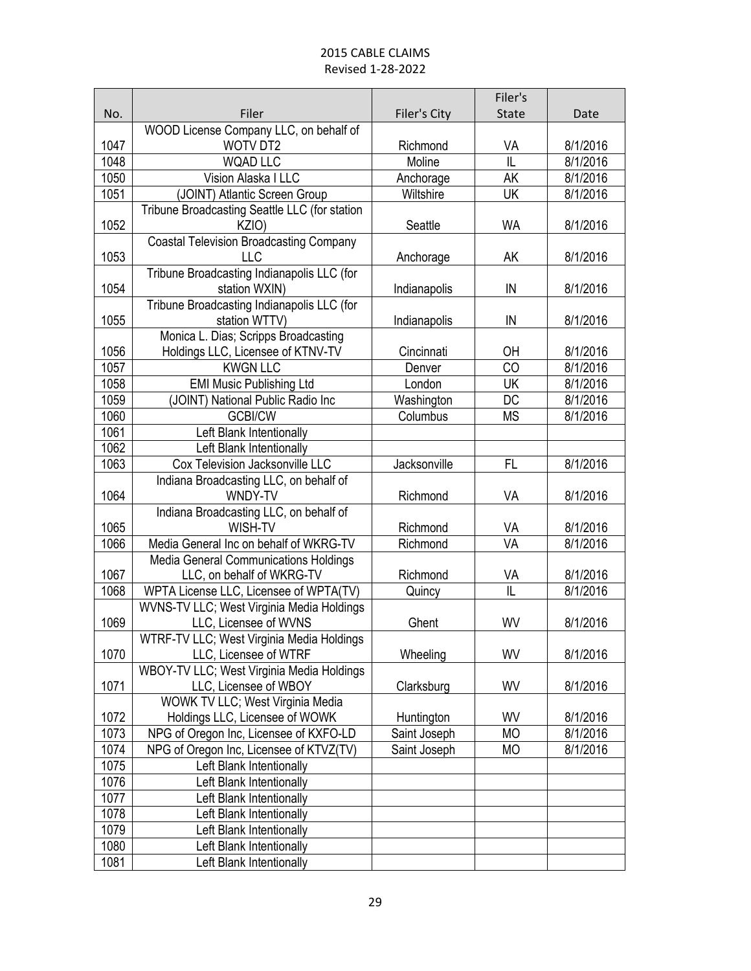| <b>State</b><br>No.<br>Filer<br>Filer's City<br>Date<br>WOOD License Company LLC, on behalf of<br>1047<br><b>WOTV DT2</b><br>Richmond<br>VA<br>8/1/2016<br>IL<br>1048<br><b>WQAD LLC</b><br>Moline<br>8/1/2016<br>1050<br>8/1/2016<br>Vision Alaska I LLC<br>Anchorage<br>AK<br>1051<br>Wiltshire<br>UK<br>8/1/2016<br>(JOINT) Atlantic Screen Group<br>Tribune Broadcasting Seattle LLC (for station<br>1052<br>8/1/2016<br>KZIO)<br>Seattle<br><b>WA</b><br><b>Coastal Television Broadcasting Company</b><br>1053<br>LLC<br>8/1/2016<br>Anchorage<br>AK<br>Tribune Broadcasting Indianapolis LLC (for<br>1054<br>station WXIN)<br>8/1/2016<br>Indianapolis<br>IN<br>Tribune Broadcasting Indianapolis LLC (for<br>1055<br>station WTTV)<br>Indianapolis<br>8/1/2016<br>IN<br>Monica L. Dias; Scripps Broadcasting<br>1056<br>Holdings LLC, Licensee of KTNV-TV<br>8/1/2016<br>Cincinnati<br>ОH<br>1057<br><b>KWGN LLC</b><br>CO<br>8/1/2016<br>Denver<br><b>UK</b><br>1058<br><b>EMI Music Publishing Ltd</b><br>London<br>8/1/2016<br>1059<br>8/1/2016<br>(JOINT) National Public Radio Inc<br>Washington<br>DC<br>1060<br><b>GCBI/CW</b><br><b>MS</b><br>8/1/2016<br>Columbus<br>1061<br>Left Blank Intentionally<br>1062<br>Left Blank Intentionally |
|------------------------------------------------------------------------------------------------------------------------------------------------------------------------------------------------------------------------------------------------------------------------------------------------------------------------------------------------------------------------------------------------------------------------------------------------------------------------------------------------------------------------------------------------------------------------------------------------------------------------------------------------------------------------------------------------------------------------------------------------------------------------------------------------------------------------------------------------------------------------------------------------------------------------------------------------------------------------------------------------------------------------------------------------------------------------------------------------------------------------------------------------------------------------------------------------------------------------------------------------------------|
|                                                                                                                                                                                                                                                                                                                                                                                                                                                                                                                                                                                                                                                                                                                                                                                                                                                                                                                                                                                                                                                                                                                                                                                                                                                            |
|                                                                                                                                                                                                                                                                                                                                                                                                                                                                                                                                                                                                                                                                                                                                                                                                                                                                                                                                                                                                                                                                                                                                                                                                                                                            |
|                                                                                                                                                                                                                                                                                                                                                                                                                                                                                                                                                                                                                                                                                                                                                                                                                                                                                                                                                                                                                                                                                                                                                                                                                                                            |
|                                                                                                                                                                                                                                                                                                                                                                                                                                                                                                                                                                                                                                                                                                                                                                                                                                                                                                                                                                                                                                                                                                                                                                                                                                                            |
|                                                                                                                                                                                                                                                                                                                                                                                                                                                                                                                                                                                                                                                                                                                                                                                                                                                                                                                                                                                                                                                                                                                                                                                                                                                            |
|                                                                                                                                                                                                                                                                                                                                                                                                                                                                                                                                                                                                                                                                                                                                                                                                                                                                                                                                                                                                                                                                                                                                                                                                                                                            |
|                                                                                                                                                                                                                                                                                                                                                                                                                                                                                                                                                                                                                                                                                                                                                                                                                                                                                                                                                                                                                                                                                                                                                                                                                                                            |
|                                                                                                                                                                                                                                                                                                                                                                                                                                                                                                                                                                                                                                                                                                                                                                                                                                                                                                                                                                                                                                                                                                                                                                                                                                                            |
|                                                                                                                                                                                                                                                                                                                                                                                                                                                                                                                                                                                                                                                                                                                                                                                                                                                                                                                                                                                                                                                                                                                                                                                                                                                            |
|                                                                                                                                                                                                                                                                                                                                                                                                                                                                                                                                                                                                                                                                                                                                                                                                                                                                                                                                                                                                                                                                                                                                                                                                                                                            |
|                                                                                                                                                                                                                                                                                                                                                                                                                                                                                                                                                                                                                                                                                                                                                                                                                                                                                                                                                                                                                                                                                                                                                                                                                                                            |
|                                                                                                                                                                                                                                                                                                                                                                                                                                                                                                                                                                                                                                                                                                                                                                                                                                                                                                                                                                                                                                                                                                                                                                                                                                                            |
|                                                                                                                                                                                                                                                                                                                                                                                                                                                                                                                                                                                                                                                                                                                                                                                                                                                                                                                                                                                                                                                                                                                                                                                                                                                            |
|                                                                                                                                                                                                                                                                                                                                                                                                                                                                                                                                                                                                                                                                                                                                                                                                                                                                                                                                                                                                                                                                                                                                                                                                                                                            |
|                                                                                                                                                                                                                                                                                                                                                                                                                                                                                                                                                                                                                                                                                                                                                                                                                                                                                                                                                                                                                                                                                                                                                                                                                                                            |
|                                                                                                                                                                                                                                                                                                                                                                                                                                                                                                                                                                                                                                                                                                                                                                                                                                                                                                                                                                                                                                                                                                                                                                                                                                                            |
|                                                                                                                                                                                                                                                                                                                                                                                                                                                                                                                                                                                                                                                                                                                                                                                                                                                                                                                                                                                                                                                                                                                                                                                                                                                            |
|                                                                                                                                                                                                                                                                                                                                                                                                                                                                                                                                                                                                                                                                                                                                                                                                                                                                                                                                                                                                                                                                                                                                                                                                                                                            |
|                                                                                                                                                                                                                                                                                                                                                                                                                                                                                                                                                                                                                                                                                                                                                                                                                                                                                                                                                                                                                                                                                                                                                                                                                                                            |
|                                                                                                                                                                                                                                                                                                                                                                                                                                                                                                                                                                                                                                                                                                                                                                                                                                                                                                                                                                                                                                                                                                                                                                                                                                                            |
|                                                                                                                                                                                                                                                                                                                                                                                                                                                                                                                                                                                                                                                                                                                                                                                                                                                                                                                                                                                                                                                                                                                                                                                                                                                            |
|                                                                                                                                                                                                                                                                                                                                                                                                                                                                                                                                                                                                                                                                                                                                                                                                                                                                                                                                                                                                                                                                                                                                                                                                                                                            |
| 1063<br>Cox Television Jacksonville LLC<br>Jacksonville<br>8/1/2016<br>FL                                                                                                                                                                                                                                                                                                                                                                                                                                                                                                                                                                                                                                                                                                                                                                                                                                                                                                                                                                                                                                                                                                                                                                                  |
| Indiana Broadcasting LLC, on behalf of                                                                                                                                                                                                                                                                                                                                                                                                                                                                                                                                                                                                                                                                                                                                                                                                                                                                                                                                                                                                                                                                                                                                                                                                                     |
| 1064<br>WNDY-TV<br>Richmond<br>VA<br>8/1/2016                                                                                                                                                                                                                                                                                                                                                                                                                                                                                                                                                                                                                                                                                                                                                                                                                                                                                                                                                                                                                                                                                                                                                                                                              |
| Indiana Broadcasting LLC, on behalf of<br>1065<br>WISH-TV<br>8/1/2016<br>Richmond<br>VA                                                                                                                                                                                                                                                                                                                                                                                                                                                                                                                                                                                                                                                                                                                                                                                                                                                                                                                                                                                                                                                                                                                                                                    |
| 1066<br>VA<br>8/1/2016<br>Media General Inc on behalf of WKRG-TV<br>Richmond                                                                                                                                                                                                                                                                                                                                                                                                                                                                                                                                                                                                                                                                                                                                                                                                                                                                                                                                                                                                                                                                                                                                                                               |
| <b>Media General Communications Holdings</b>                                                                                                                                                                                                                                                                                                                                                                                                                                                                                                                                                                                                                                                                                                                                                                                                                                                                                                                                                                                                                                                                                                                                                                                                               |
| 1067<br>LLC, on behalf of WKRG-TV<br>Richmond<br>VA<br>8/1/2016                                                                                                                                                                                                                                                                                                                                                                                                                                                                                                                                                                                                                                                                                                                                                                                                                                                                                                                                                                                                                                                                                                                                                                                            |
| IL<br>WPTA License LLC, Licensee of WPTA(TV)<br>1068<br>8/1/2016<br>Quincy                                                                                                                                                                                                                                                                                                                                                                                                                                                                                                                                                                                                                                                                                                                                                                                                                                                                                                                                                                                                                                                                                                                                                                                 |
| WVNS-TV LLC; West Virginia Media Holdings                                                                                                                                                                                                                                                                                                                                                                                                                                                                                                                                                                                                                                                                                                                                                                                                                                                                                                                                                                                                                                                                                                                                                                                                                  |
| 1069<br>LLC, Licensee of WVNS<br>WV<br>8/1/2016<br>Ghent                                                                                                                                                                                                                                                                                                                                                                                                                                                                                                                                                                                                                                                                                                                                                                                                                                                                                                                                                                                                                                                                                                                                                                                                   |
| WTRF-TV LLC; West Virginia Media Holdings                                                                                                                                                                                                                                                                                                                                                                                                                                                                                                                                                                                                                                                                                                                                                                                                                                                                                                                                                                                                                                                                                                                                                                                                                  |
| 1070<br>WV<br>8/1/2016<br>LLC, Licensee of WTRF<br>Wheeling                                                                                                                                                                                                                                                                                                                                                                                                                                                                                                                                                                                                                                                                                                                                                                                                                                                                                                                                                                                                                                                                                                                                                                                                |
| WBOY-TV LLC; West Virginia Media Holdings                                                                                                                                                                                                                                                                                                                                                                                                                                                                                                                                                                                                                                                                                                                                                                                                                                                                                                                                                                                                                                                                                                                                                                                                                  |
| 1071<br>LLC, Licensee of WBOY<br>Clarksburg<br>WV<br>8/1/2016                                                                                                                                                                                                                                                                                                                                                                                                                                                                                                                                                                                                                                                                                                                                                                                                                                                                                                                                                                                                                                                                                                                                                                                              |
| WOWK TV LLC; West Virginia Media                                                                                                                                                                                                                                                                                                                                                                                                                                                                                                                                                                                                                                                                                                                                                                                                                                                                                                                                                                                                                                                                                                                                                                                                                           |
| 1072<br>Holdings LLC, Licensee of WOWK<br>WV<br>8/1/2016<br>Huntington                                                                                                                                                                                                                                                                                                                                                                                                                                                                                                                                                                                                                                                                                                                                                                                                                                                                                                                                                                                                                                                                                                                                                                                     |
| 1073<br>NPG of Oregon Inc, Licensee of KXFO-LD<br><b>MO</b><br>8/1/2016<br>Saint Joseph                                                                                                                                                                                                                                                                                                                                                                                                                                                                                                                                                                                                                                                                                                                                                                                                                                                                                                                                                                                                                                                                                                                                                                    |
| 1074<br>8/1/2016<br>NPG of Oregon Inc, Licensee of KTVZ(TV)<br>Saint Joseph<br><b>MO</b>                                                                                                                                                                                                                                                                                                                                                                                                                                                                                                                                                                                                                                                                                                                                                                                                                                                                                                                                                                                                                                                                                                                                                                   |
| 1075<br>Left Blank Intentionally                                                                                                                                                                                                                                                                                                                                                                                                                                                                                                                                                                                                                                                                                                                                                                                                                                                                                                                                                                                                                                                                                                                                                                                                                           |
| 1076<br>Left Blank Intentionally                                                                                                                                                                                                                                                                                                                                                                                                                                                                                                                                                                                                                                                                                                                                                                                                                                                                                                                                                                                                                                                                                                                                                                                                                           |
| 1077<br>Left Blank Intentionally                                                                                                                                                                                                                                                                                                                                                                                                                                                                                                                                                                                                                                                                                                                                                                                                                                                                                                                                                                                                                                                                                                                                                                                                                           |
| 1078<br>Left Blank Intentionally                                                                                                                                                                                                                                                                                                                                                                                                                                                                                                                                                                                                                                                                                                                                                                                                                                                                                                                                                                                                                                                                                                                                                                                                                           |
| 1079<br>Left Blank Intentionally                                                                                                                                                                                                                                                                                                                                                                                                                                                                                                                                                                                                                                                                                                                                                                                                                                                                                                                                                                                                                                                                                                                                                                                                                           |
| 1080<br>Left Blank Intentionally                                                                                                                                                                                                                                                                                                                                                                                                                                                                                                                                                                                                                                                                                                                                                                                                                                                                                                                                                                                                                                                                                                                                                                                                                           |
| 1081<br>Left Blank Intentionally                                                                                                                                                                                                                                                                                                                                                                                                                                                                                                                                                                                                                                                                                                                                                                                                                                                                                                                                                                                                                                                                                                                                                                                                                           |